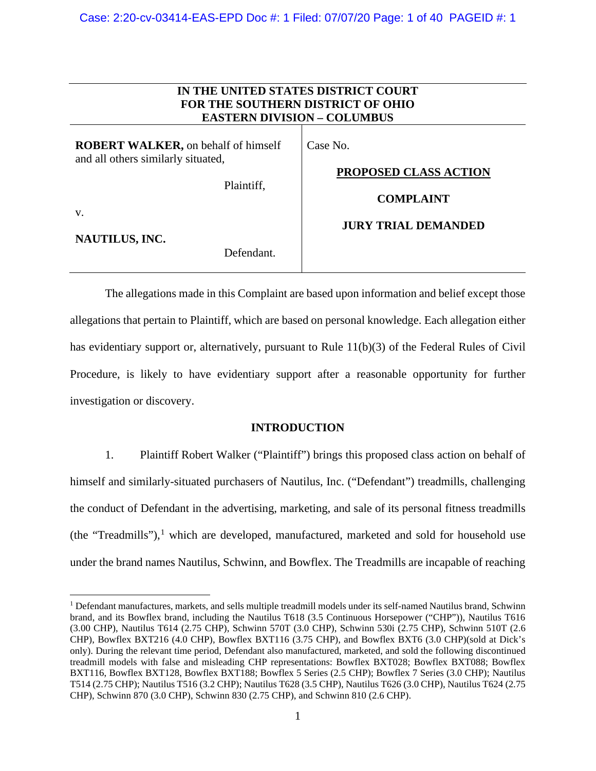| IN THE UNITED STATES DISTRICT COURT<br>FOR THE SOUTHERN DISTRICT OF OHIO<br><b>EASTERN DIVISION - COLUMBUS</b>                        |                                                                                            |  |
|---------------------------------------------------------------------------------------------------------------------------------------|--------------------------------------------------------------------------------------------|--|
| <b>ROBERT WALKER</b> , on behalf of himself<br>and all others similarly situated,<br>Plaintiff,<br>V.<br>NAUTILUS, INC.<br>Defendant. | Case No.<br><b>PROPOSED CLASS ACTION</b><br><b>COMPLAINT</b><br><b>JURY TRIAL DEMANDED</b> |  |

The allegations made in this Complaint are based upon information and belief except those allegations that pertain to Plaintiff, which are based on personal knowledge. Each allegation either has evidentiary support or, alternatively, pursuant to Rule 11(b)(3) of the Federal Rules of Civil Procedure, is likely to have evidentiary support after a reasonable opportunity for further investigation or discovery.

### **INTRODUCTION**

1. Plaintiff Robert Walker ("Plaintiff") brings this proposed class action on behalf of himself and similarly-situated purchasers of Nautilus, Inc. ("Defendant") treadmills, challenging the conduct of Defendant in the advertising, marketing, and sale of its personal fitness treadmills (the "Treadmills"),<sup>[1](#page-0-0)</sup> which are developed, manufactured, marketed and sold for household use under the brand names Nautilus, Schwinn, and Bowflex. The Treadmills are incapable of reaching

<span id="page-0-0"></span><sup>&</sup>lt;sup>1</sup> Defendant manufactures, markets, and sells multiple treadmill models under its self-named Nautilus brand, Schwinn brand, and its Bowflex brand, including the Nautilus T618 (3.5 Continuous Horsepower ("CHP")), Nautilus T616 (3.00 CHP), Nautilus T614 (2.75 CHP), Schwinn 570T (3.0 CHP), Schwinn 530i (2.75 CHP), Schwinn 510T (2.6 CHP), Bowflex BXT216 (4.0 CHP), Bowflex BXT116 (3.75 CHP), and Bowflex BXT6 (3.0 CHP)(sold at Dick's only). During the relevant time period, Defendant also manufactured, marketed, and sold the following discontinued treadmill models with false and misleading CHP representations: Bowflex BXT028; Bowflex BXT088; Bowflex BXT116, Bowflex BXT128, Bowflex BXT188; Bowflex 5 Series (2.5 CHP); Bowflex 7 Series (3.0 CHP); Nautilus T514 (2.75 CHP); Nautilus T516 (3.2 CHP); Nautilus T628 (3.5 CHP), Nautilus T626 (3.0 CHP), Nautilus T624 (2.75 CHP), Schwinn 870 (3.0 CHP), Schwinn 830 (2.75 CHP), and Schwinn 810 (2.6 CHP).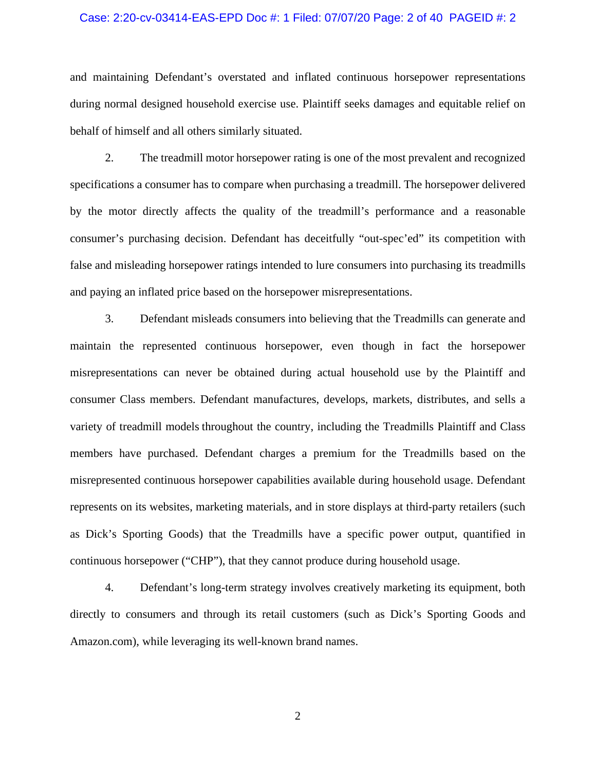### Case: 2:20-cv-03414-EAS-EPD Doc #: 1 Filed: 07/07/20 Page: 2 of 40 PAGEID #: 2

and maintaining Defendant's overstated and inflated continuous horsepower representations during normal designed household exercise use. Plaintiff seeks damages and equitable relief on behalf of himself and all others similarly situated.

2. The treadmill motor horsepower rating is one of the most prevalent and recognized specifications a consumer has to compare when purchasing a treadmill. The horsepower delivered by the motor directly affects the quality of the treadmill's performance and a reasonable consumer's purchasing decision. Defendant has deceitfully "out-spec'ed" its competition with false and misleading horsepower ratings intended to lure consumers into purchasing its treadmills and paying an inflated price based on the horsepower misrepresentations.

3. Defendant misleads consumers into believing that the Treadmills can generate and maintain the represented continuous horsepower, even though in fact the horsepower misrepresentations can never be obtained during actual household use by the Plaintiff and consumer Class members. Defendant manufactures, develops, markets, distributes, and sells a variety of treadmill models throughout the country, including the Treadmills Plaintiff and Class members have purchased. Defendant charges a premium for the Treadmills based on the misrepresented continuous horsepower capabilities available during household usage. Defendant represents on its websites, marketing materials, and in store displays at third-party retailers (such as Dick's Sporting Goods) that the Treadmills have a specific power output, quantified in continuous horsepower ("CHP"), that they cannot produce during household usage.

4. Defendant's long-term strategy involves creatively marketing its equipment, both directly to consumers and through its retail customers (such as Dick's Sporting Goods and Amazon.com), while leveraging its well-known brand names.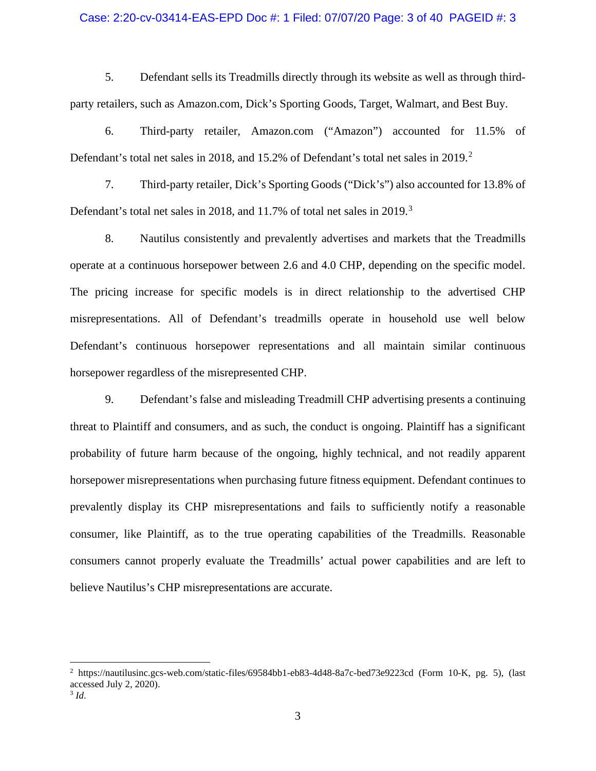### Case: 2:20-cv-03414-EAS-EPD Doc #: 1 Filed: 07/07/20 Page: 3 of 40 PAGEID #: 3

5. Defendant sells its Treadmills directly through its website as well as through thirdparty retailers, such as Amazon.com, Dick's Sporting Goods, Target, Walmart, and Best Buy.

6. Third-party retailer, Amazon.com ("Amazon") accounted for 11.5% of Defendant's total net sales in [2](#page-2-0)018, and 15.2% of Defendant's total net sales in 2019.<sup>2</sup>

7. Third-party retailer, Dick's Sporting Goods ("Dick's") also accounted for 13.8% of Defendant's total net sales in 2018, and 11.7% of total net sales in 2019.<sup>[3](#page-2-1)</sup>

8. Nautilus consistently and prevalently advertises and markets that the Treadmills operate at a continuous horsepower between 2.6 and 4.0 CHP, depending on the specific model. The pricing increase for specific models is in direct relationship to the advertised CHP misrepresentations. All of Defendant's treadmills operate in household use well below Defendant's continuous horsepower representations and all maintain similar continuous horsepower regardless of the misrepresented CHP.

9. Defendant's false and misleading Treadmill CHP advertising presents a continuing threat to Plaintiff and consumers, and as such, the conduct is ongoing. Plaintiff has a significant probability of future harm because of the ongoing, highly technical, and not readily apparent horsepower misrepresentations when purchasing future fitness equipment. Defendant continues to prevalently display its CHP misrepresentations and fails to sufficiently notify a reasonable consumer, like Plaintiff, as to the true operating capabilities of the Treadmills. Reasonable consumers cannot properly evaluate the Treadmills' actual power capabilities and are left to believe Nautilus's CHP misrepresentations are accurate.

<span id="page-2-0"></span><sup>2</sup> https://nautilusinc.gcs-web.com/static-files/69584bb1-eb83-4d48-8a7c-bed73e9223cd (Form 10-K, pg. 5), (last accessed July 2, 2020).

<span id="page-2-1"></span><sup>3</sup> *Id*.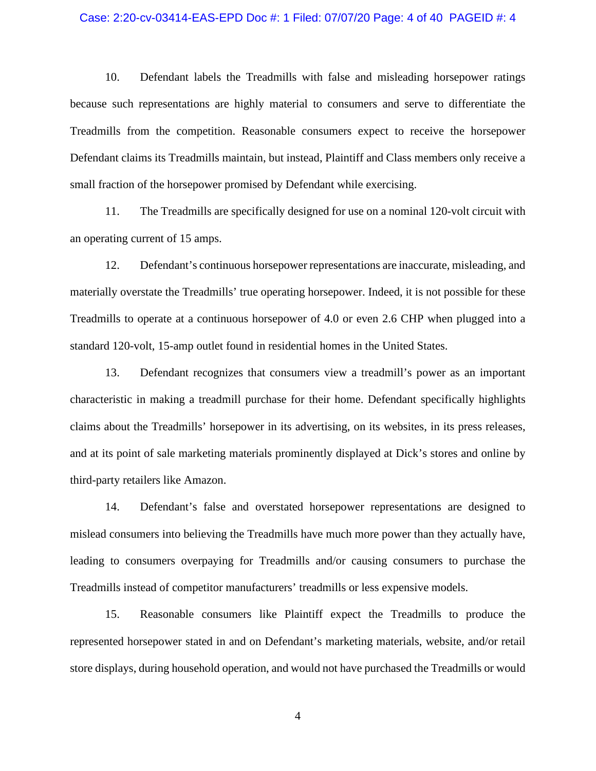### Case: 2:20-cv-03414-EAS-EPD Doc #: 1 Filed: 07/07/20 Page: 4 of 40 PAGEID #: 4

10. Defendant labels the Treadmills with false and misleading horsepower ratings because such representations are highly material to consumers and serve to differentiate the Treadmills from the competition. Reasonable consumers expect to receive the horsepower Defendant claims its Treadmills maintain, but instead, Plaintiff and Class members only receive a small fraction of the horsepower promised by Defendant while exercising.

11. The Treadmills are specifically designed for use on a nominal 120-volt circuit with an operating current of 15 amps.

12. Defendant's continuous horsepower representations are inaccurate, misleading, and materially overstate the Treadmills' true operating horsepower. Indeed, it is not possible for these Treadmills to operate at a continuous horsepower of 4.0 or even 2.6 CHP when plugged into a standard 120-volt, 15-amp outlet found in residential homes in the United States.

13. Defendant recognizes that consumers view a treadmill's power as an important characteristic in making a treadmill purchase for their home. Defendant specifically highlights claims about the Treadmills' horsepower in its advertising, on its websites, in its press releases, and at its point of sale marketing materials prominently displayed at Dick's stores and online by third-party retailers like Amazon.

14. Defendant's false and overstated horsepower representations are designed to mislead consumers into believing the Treadmills have much more power than they actually have, leading to consumers overpaying for Treadmills and/or causing consumers to purchase the Treadmills instead of competitor manufacturers' treadmills or less expensive models.

15. Reasonable consumers like Plaintiff expect the Treadmills to produce the represented horsepower stated in and on Defendant's marketing materials, website, and/or retail store displays, during household operation, and would not have purchased the Treadmills or would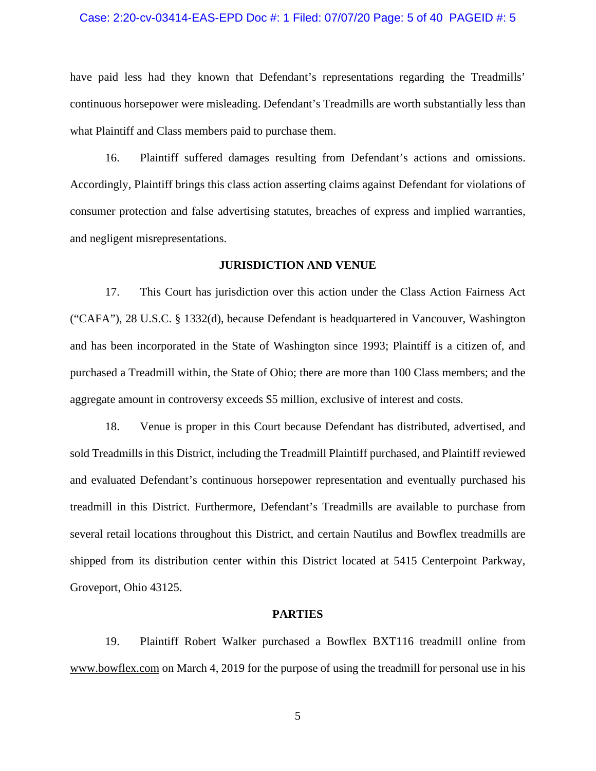### Case: 2:20-cv-03414-EAS-EPD Doc #: 1 Filed: 07/07/20 Page: 5 of 40 PAGEID #: 5

have paid less had they known that Defendant's representations regarding the Treadmills' continuous horsepower were misleading. Defendant's Treadmills are worth substantially less than what Plaintiff and Class members paid to purchase them.

16. Plaintiff suffered damages resulting from Defendant's actions and omissions. Accordingly, Plaintiff brings this class action asserting claims against Defendant for violations of consumer protection and false advertising statutes, breaches of express and implied warranties, and negligent misrepresentations.

### **JURISDICTION AND VENUE**

17. This Court has jurisdiction over this action under the Class Action Fairness Act ("CAFA"), 28 U.S.C. § 1332(d), because Defendant is headquartered in Vancouver, Washington and has been incorporated in the State of Washington since 1993; Plaintiff is a citizen of, and purchased a Treadmill within, the State of Ohio; there are more than 100 Class members; and the aggregate amount in controversy exceeds \$5 million, exclusive of interest and costs.

18. Venue is proper in this Court because Defendant has distributed, advertised, and sold Treadmills in this District, including the Treadmill Plaintiff purchased, and Plaintiff reviewed and evaluated Defendant's continuous horsepower representation and eventually purchased his treadmill in this District. Furthermore, Defendant's Treadmills are available to purchase from several retail locations throughout this District, and certain Nautilus and Bowflex treadmills are shipped from its distribution center within this District located at 5415 Centerpoint Parkway, Groveport, Ohio 43125.

#### **PARTIES**

19. Plaintiff Robert Walker purchased a Bowflex BXT116 treadmill online from www.bowflex.com on March 4, 2019 for the purpose of using the treadmill for personal use in his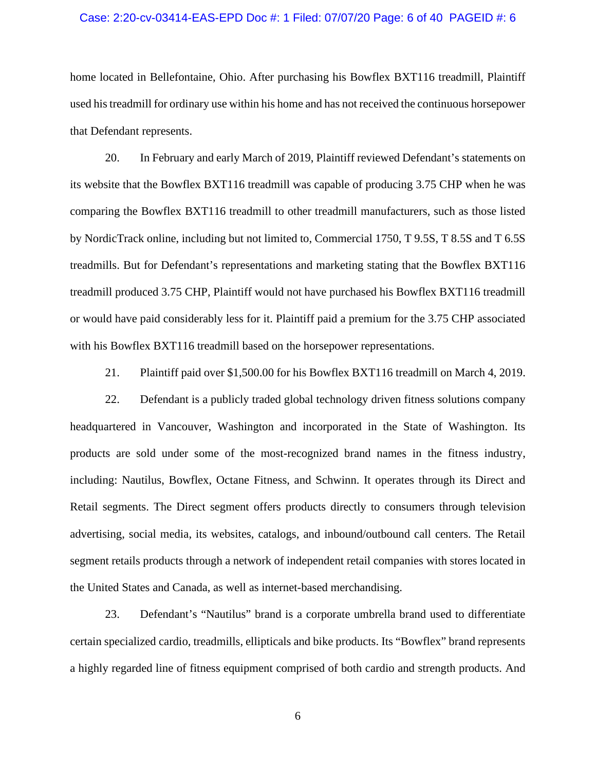### Case: 2:20-cv-03414-EAS-EPD Doc #: 1 Filed: 07/07/20 Page: 6 of 40 PAGEID #: 6

home located in Bellefontaine, Ohio. After purchasing his Bowflex BXT116 treadmill, Plaintiff used his treadmill for ordinary use within his home and has not received the continuous horsepower that Defendant represents.

20. In February and early March of 2019, Plaintiff reviewed Defendant's statements on its website that the Bowflex BXT116 treadmill was capable of producing 3.75 CHP when he was comparing the Bowflex BXT116 treadmill to other treadmill manufacturers, such as those listed by NordicTrack online, including but not limited to, Commercial 1750, T 9.5S, T 8.5S and T 6.5S treadmills. But for Defendant's representations and marketing stating that the Bowflex BXT116 treadmill produced 3.75 CHP, Plaintiff would not have purchased his Bowflex BXT116 treadmill or would have paid considerably less for it. Plaintiff paid a premium for the 3.75 CHP associated with his Bowflex BXT116 treadmill based on the horsepower representations.

21. Plaintiff paid over \$1,500.00 for his Bowflex BXT116 treadmill on March 4, 2019.

22. Defendant is a publicly traded global technology driven fitness solutions company headquartered in Vancouver, Washington and incorporated in the State of Washington. Its products are sold under some of the most-recognized brand names in the fitness industry, including: Nautilus, Bowflex, Octane Fitness, and Schwinn. It operates through its Direct and Retail segments. The Direct segment offers products directly to consumers through television advertising, social media, its websites, catalogs, and inbound/outbound call centers. The Retail segment retails products through a network of independent retail companies with stores located in the United States and Canada, as well as internet-based merchandising.

23. Defendant's "Nautilus" brand is a corporate umbrella brand used to differentiate certain specialized cardio, treadmills, ellipticals and bike products. Its "Bowflex" brand represents a highly regarded line of fitness equipment comprised of both cardio and strength products. And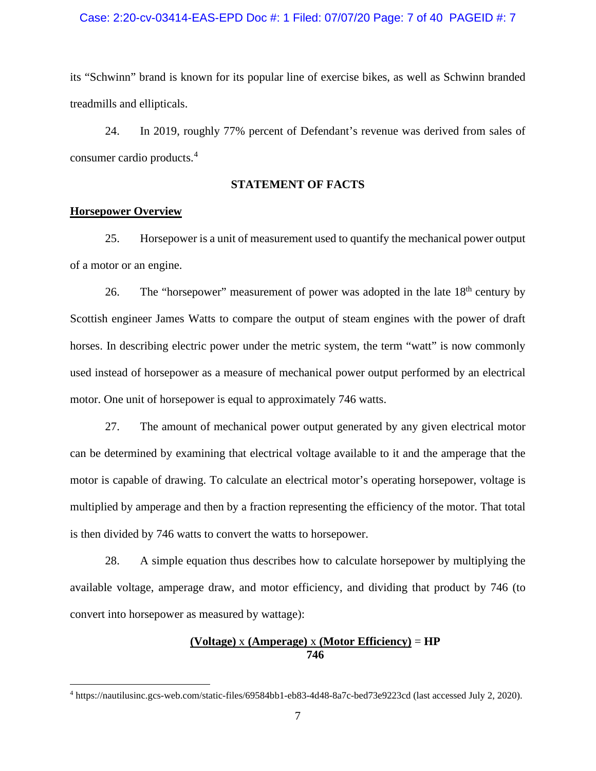### Case: 2:20-cv-03414-EAS-EPD Doc #: 1 Filed: 07/07/20 Page: 7 of 40 PAGEID #: 7

its "Schwinn" brand is known for its popular line of exercise bikes, as well as Schwinn branded treadmills and ellipticals.

24. In 2019, roughly 77% percent of Defendant's revenue was derived from sales of consumer cardio products.[4](#page-6-0)

### **STATEMENT OF FACTS**

### **Horsepower Overview**

25. Horsepower is a unit of measurement used to quantify the mechanical power output of a motor or an engine.

26. The "horsepower" measurement of power was adopted in the late  $18<sup>th</sup>$  century by Scottish engineer James Watts to compare the output of steam engines with the power of draft horses. In describing electric power under the metric system, the term "watt" is now commonly used instead of horsepower as a measure of mechanical power output performed by an electrical motor. One unit of horsepower is equal to approximately 746 watts.

27. The amount of mechanical power output generated by any given electrical motor can be determined by examining that electrical voltage available to it and the amperage that the motor is capable of drawing. To calculate an electrical motor's operating horsepower, voltage is multiplied by amperage and then by a fraction representing the efficiency of the motor. That total is then divided by 746 watts to convert the watts to horsepower.

28. A simple equation thus describes how to calculate horsepower by multiplying the available voltage, amperage draw, and motor efficiency, and dividing that product by 746 (to convert into horsepower as measured by wattage):

### **(Voltage)** x **(Amperage)** x **(Motor Efficiency)** = **HP 746**

<span id="page-6-0"></span><sup>4</sup> https://nautilusinc.gcs-web.com/static-files/69584bb1-eb83-4d48-8a7c-bed73e9223cd (last accessed July 2, 2020).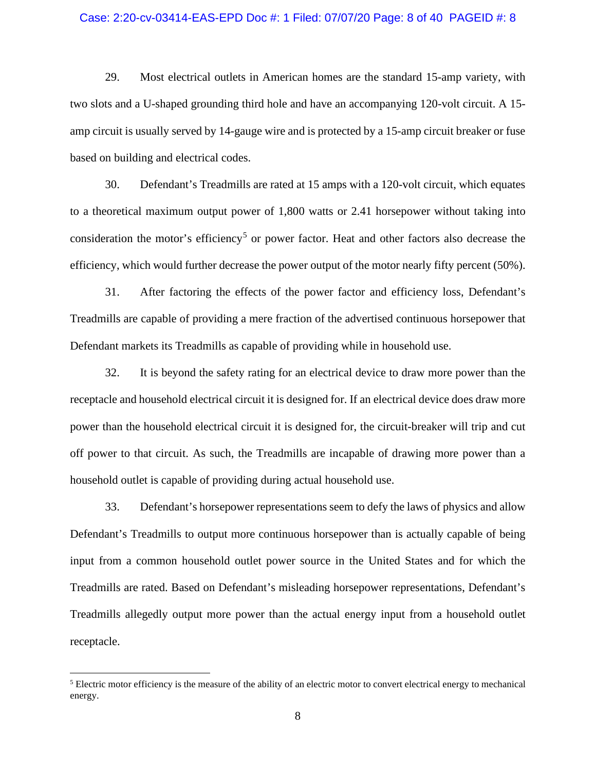### Case: 2:20-cv-03414-EAS-EPD Doc #: 1 Filed: 07/07/20 Page: 8 of 40 PAGEID #: 8

29. Most electrical outlets in American homes are the standard 15-amp variety, with two slots and a U-shaped grounding third hole and have an accompanying 120-volt circuit. A 15 amp circuit is usually served by 14-gauge wire and is protected by a 15-amp circuit breaker or fuse based on building and electrical codes.

30. Defendant's Treadmills are rated at 15 amps with a 120-volt circuit, which equates to a theoretical maximum output power of 1,800 watts or 2.41 horsepower without taking into consideration the motor's efficiency<sup>[5](#page-7-0)</sup> or power factor. Heat and other factors also decrease the efficiency, which would further decrease the power output of the motor nearly fifty percent (50%).

31. After factoring the effects of the power factor and efficiency loss, Defendant's Treadmills are capable of providing a mere fraction of the advertised continuous horsepower that Defendant markets its Treadmills as capable of providing while in household use.

32. It is beyond the safety rating for an electrical device to draw more power than the receptacle and household electrical circuit it is designed for. If an electrical device does draw more power than the household electrical circuit it is designed for, the circuit-breaker will trip and cut off power to that circuit. As such, the Treadmills are incapable of drawing more power than a household outlet is capable of providing during actual household use.

33. Defendant's horsepower representations seem to defy the laws of physics and allow Defendant's Treadmills to output more continuous horsepower than is actually capable of being input from a common household outlet power source in the United States and for which the Treadmills are rated. Based on Defendant's misleading horsepower representations, Defendant's Treadmills allegedly output more power than the actual energy input from a household outlet receptacle.

<span id="page-7-0"></span><sup>5</sup> Electric motor efficiency is the measure of the ability of an electric motor to convert electrical energy to mechanical energy.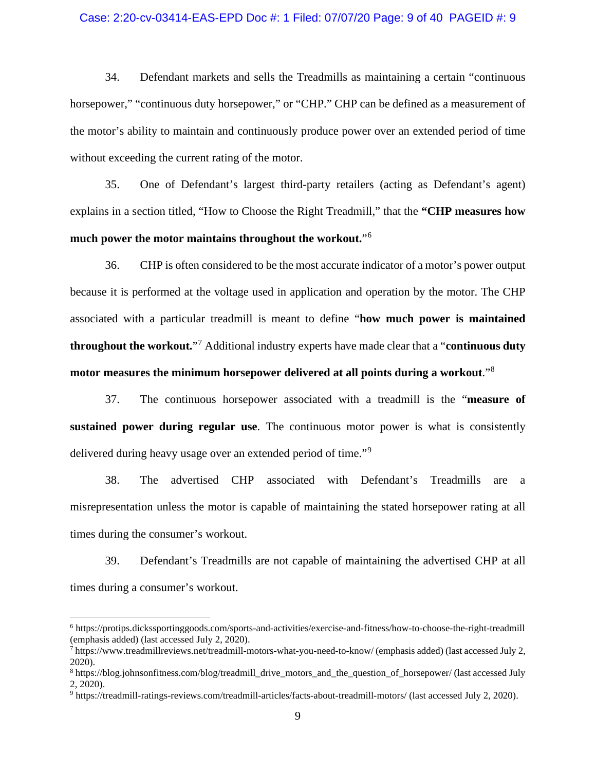### Case: 2:20-cv-03414-EAS-EPD Doc #: 1 Filed: 07/07/20 Page: 9 of 40 PAGEID #: 9

34. Defendant markets and sells the Treadmills as maintaining a certain "continuous horsepower," "continuous duty horsepower," or "CHP." CHP can be defined as a measurement of the motor's ability to maintain and continuously produce power over an extended period of time without exceeding the current rating of the motor.

35. One of Defendant's largest third-party retailers (acting as Defendant's agent) explains in a section titled, "How to Choose the Right Treadmill," that the **"CHP measures how much power the motor maintains throughout the workout.**"[6](#page-8-0)

36. CHP is often considered to be the most accurate indicator of a motor's power output because it is performed at the voltage used in application and operation by the motor. The CHP associated with a particular treadmill is meant to define "**how much power is maintained throughout the workout.**"[7](#page-8-1) Additional industry experts have made clear that a "**continuous duty motor measures the minimum horsepower delivered at all points during a workout**."[8](#page-8-2)

37. The continuous horsepower associated with a treadmill is the "**measure of sustained power during regular use**. The continuous motor power is what is consistently delivered during heavy usage over an extended period of time."[9](#page-8-3)

38. The advertised CHP associated with Defendant's Treadmills are a misrepresentation unless the motor is capable of maintaining the stated horsepower rating at all times during the consumer's workout.

39. Defendant's Treadmills are not capable of maintaining the advertised CHP at all times during a consumer's workout.

<span id="page-8-0"></span><sup>6</sup> https://protips.dickssportinggoods.com/sports-and-activities/exercise-and-fitness/how-to-choose-the-right-treadmill (emphasis added) (last accessed July 2, 2020).

<span id="page-8-1"></span> $^7$  https://www.treadmillreviews.net/treadmill-motors-what-you-need-to-know/ (emphasis added) (last accessed July 2, 2020).

<span id="page-8-2"></span><sup>8</sup> https://blog.johnsonfitness.com/blog/treadmill\_drive\_motors\_and\_the\_question\_of\_horsepower/ (last accessed July 2, 2020).

<span id="page-8-3"></span><sup>9</sup> https://treadmill-ratings-reviews.com/treadmill-articles/facts-about-treadmill-motors/ (last accessed July 2, 2020).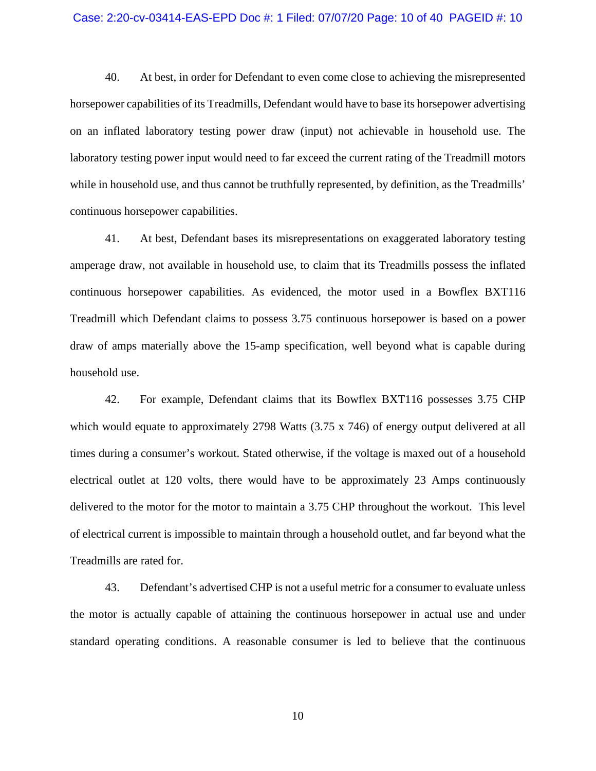### Case: 2:20-cv-03414-EAS-EPD Doc #: 1 Filed: 07/07/20 Page: 10 of 40 PAGEID #: 10

40. At best, in order for Defendant to even come close to achieving the misrepresented horsepower capabilities of its Treadmills, Defendant would have to base its horsepower advertising on an inflated laboratory testing power draw (input) not achievable in household use. The laboratory testing power input would need to far exceed the current rating of the Treadmill motors while in household use, and thus cannot be truthfully represented, by definition, as the Treadmills' continuous horsepower capabilities.

41. At best, Defendant bases its misrepresentations on exaggerated laboratory testing amperage draw, not available in household use, to claim that its Treadmills possess the inflated continuous horsepower capabilities. As evidenced, the motor used in a Bowflex BXT116 Treadmill which Defendant claims to possess 3.75 continuous horsepower is based on a power draw of amps materially above the 15-amp specification, well beyond what is capable during household use.

42. For example, Defendant claims that its Bowflex BXT116 possesses 3.75 CHP which would equate to approximately 2798 Watts  $(3.75 \times 746)$  of energy output delivered at all times during a consumer's workout. Stated otherwise, if the voltage is maxed out of a household electrical outlet at 120 volts, there would have to be approximately 23 Amps continuously delivered to the motor for the motor to maintain a 3.75 CHP throughout the workout. This level of electrical current is impossible to maintain through a household outlet, and far beyond what the Treadmills are rated for.

43. Defendant's advertised CHP is not a useful metric for a consumer to evaluate unless the motor is actually capable of attaining the continuous horsepower in actual use and under standard operating conditions. A reasonable consumer is led to believe that the continuous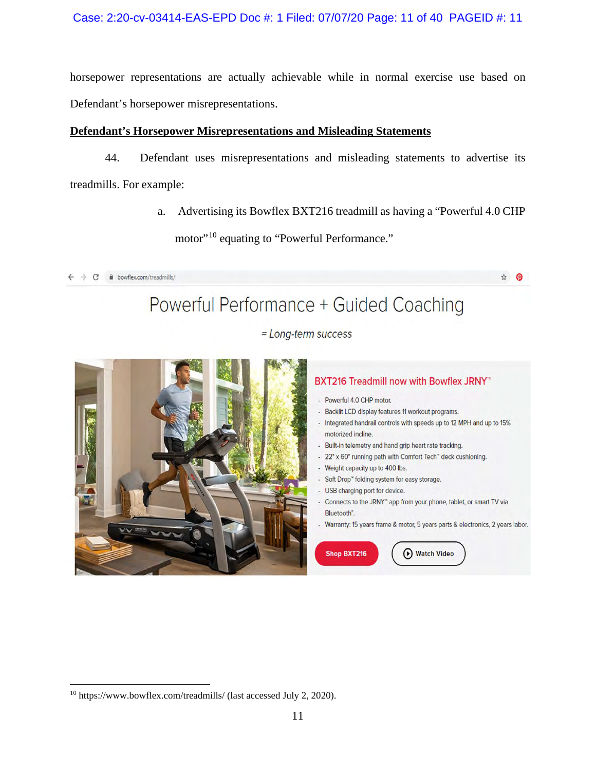horsepower representations are actually achievable while in normal exercise use based on Defendant's horsepower misrepresentations.

## **Defendant's Horsepower Misrepresentations and Misleading Statements**

44. Defendant uses misrepresentations and misleading statements to advertise its treadmills. For example:

> a. Advertising its Bowflex BXT216 treadmill as having a "Powerful 4.0 CHP motor"<sup>10</sup> equating to "Powerful Performance."

 $\leftarrow$   $\rightarrow$  C  $\bullet$  bowflex.com/treadmills/



☆ ◎



# BXT216 Treadmill now with Bowflex JRNY<sup>®</sup>

- Powerful 4.0 CHP motor.
- Backlit LCD display features 11 workout programs.
- Integrated handrail controls with speeds up to 12 MPH and up to 15% motorized incline.
- Built-in telemetry and hand grip heart rate tracking.
- 22" x 60" running path with Comfort Tech" deck cushioning.
- Weight capacity up to 400 lbs.
- Soft Drop" folding system for easy storage.
- USB charging port for device.
- Connects to the JRNY" app from your phone, tablet, or smart TV via Bluetooth".
- Warranty: 15 years frame & motor, 5 years parts & electronics, 2 years labor.

Shop BXT216

(b) Watch Video

<span id="page-10-0"></span><sup>10</sup> https://www.bowflex.com/treadmills/ (last accessed July 2, 2020).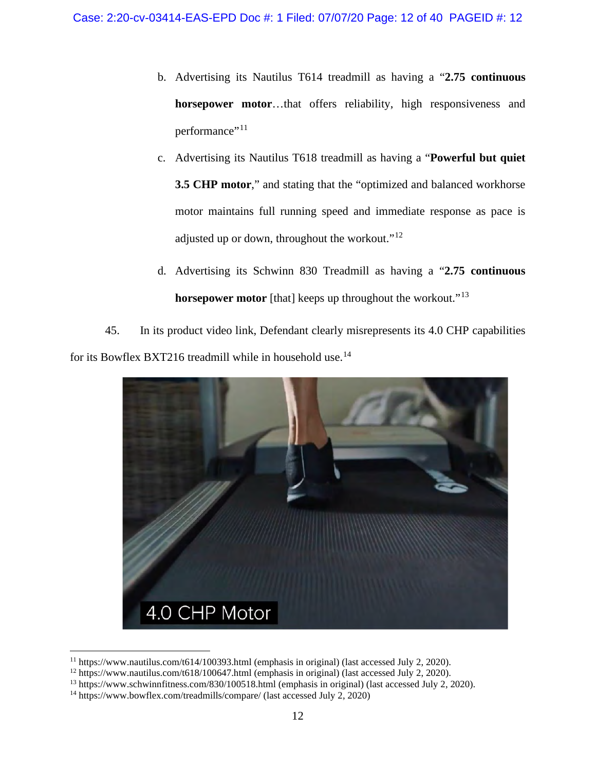- b. Advertising its Nautilus T614 treadmill as having a "**2.75 continuous horsepower motor**…that offers reliability, high responsiveness and performance"<sup>[11](#page-11-0)</sup>
- c. Advertising its Nautilus T618 treadmill as having a "**Powerful but quiet 3.5 CHP motor**," and stating that the "optimized and balanced workhorse motor maintains full running speed and immediate response as pace is adjusted up or down, throughout the workout."[12](#page-11-1)
- d. Advertising its Schwinn 830 Treadmill as having a "**2.75 continuous horsepower motor** [that] keeps up throughout the workout."<sup>[13](#page-11-2)</sup>

45. In its product video link, Defendant clearly misrepresents its 4.0 CHP capabilities for its Bowflex BXT216 treadmill while in household use.<sup>[14](#page-11-3)</sup>



<sup>&</sup>lt;sup>11</sup> https://www.nautilus.com/t614/100393.html (emphasis in original) (last accessed July 2, 2020).<br><sup>12</sup> https://www.nautilus.com/t618/100647.html (emphasis in original) (last accessed July 2, 2020).<br><sup>13</sup> https://www.schw

<span id="page-11-2"></span><span id="page-11-1"></span><span id="page-11-0"></span>

<span id="page-11-3"></span><sup>&</sup>lt;sup>14</sup> https://www.bowflex.com/treadmills/compare/ (last accessed July 2, 2020)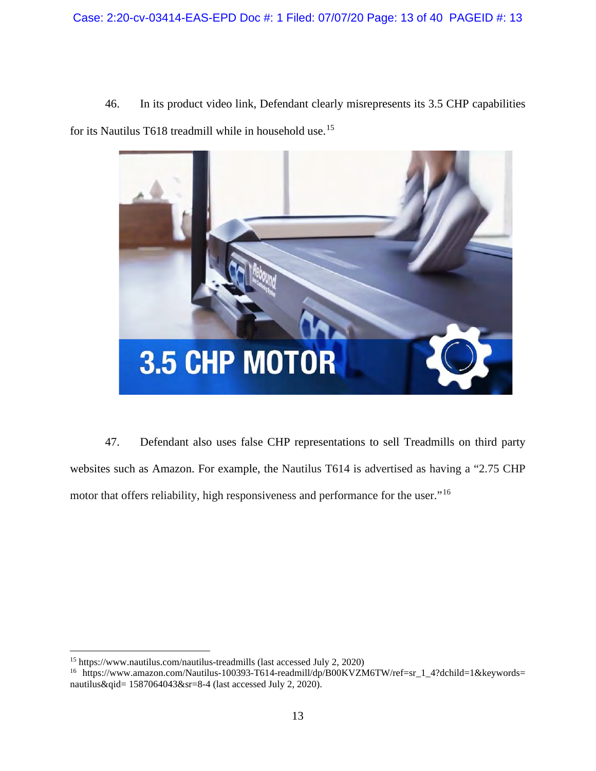46. In its product video link, Defendant clearly misrepresents its 3.5 CHP capabilities for its Nautilus T618 treadmill while in household use.[15](#page-12-0)



47. Defendant also uses false CHP representations to sell Treadmills on third party websites such as Amazon. For example, the Nautilus T614 is advertised as having a "2.75 CHP motor that offers reliability, high responsiveness and performance for the user."<sup>[16](#page-12-1)</sup>

<span id="page-12-0"></span><sup>15</sup> https://www.nautilus.com/nautilus-treadmills (last accessed July 2, 2020)

<span id="page-12-1"></span><sup>&</sup>lt;sup>16</sup> https://www.amazon.com/Nautilus-100393-T614-readmill/dp/B00KVZM6TW/ref=sr\_1\_4?dchild=1&keywords= nautilus&qid= 1587064043&sr=8-4 (last accessed July 2, 2020).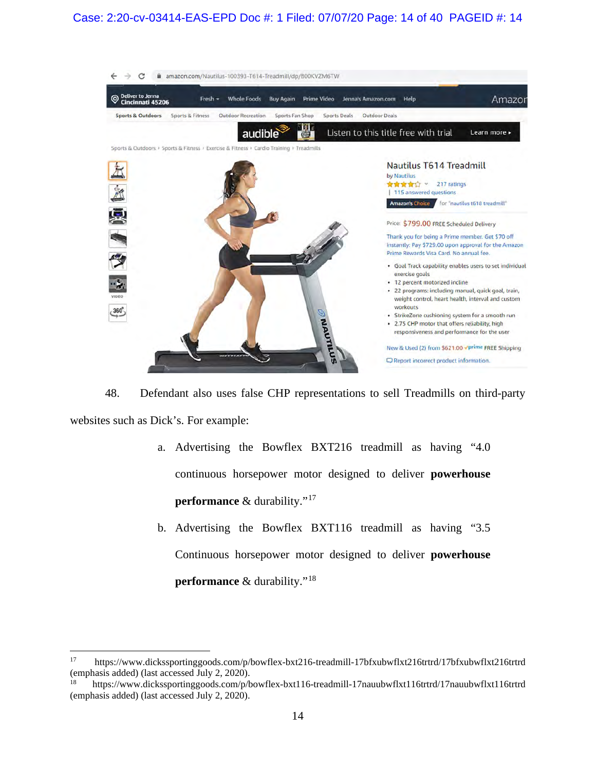## Case: 2:20-cv-03414-EAS-EPD Doc #: 1 Filed: 07/07/20 Page: 14 of 40 PAGEID #: 14



48. Defendant also uses false CHP representations to sell Treadmills on third-party websites such as Dick's. For example:

- a. Advertising the Bowflex BXT216 treadmill as having "4.0 continuous horsepower motor designed to deliver **powerhouse performance** & durability."<sup>[17](#page-13-0)</sup>
- b. Advertising the Bowflex BXT116 treadmill as having "3.5 Continuous horsepower motor designed to deliver **powerhouse performance** & durability."[18](#page-13-1)

<span id="page-13-0"></span><sup>17</sup> https://www.dickssportinggoods.com/p/bowflex-bxt216-treadmill-17bfxubwflxt216trtrd/17bfxubwflxt216trtrd (emphasis added) (last accessed July 2, 2020).

<span id="page-13-1"></span><sup>18</sup> https://www.dickssportinggoods.com/p/bowflex-bxt116-treadmill-17nauubwflxt116trtrd/17nauubwflxt116trtrd (emphasis added) (last accessed July 2, 2020).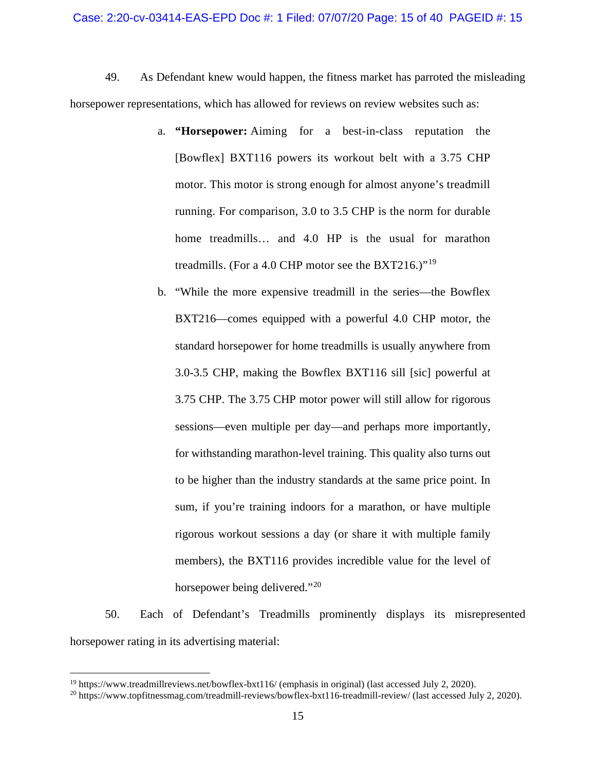49. As Defendant knew would happen, the fitness market has parroted the misleading horsepower representations, which has allowed for reviews on review websites such as:

- a. **"Horsepower:** Aiming for a best-in-class reputation the [Bowflex] BXT116 powers its workout belt with a 3.75 CHP motor. This motor is strong enough for almost anyone's treadmill running. For comparison, 3.0 to 3.5 CHP is the norm for durable home treadmills... and 4.0 HP is the usual for marathon treadmills. (For a 4.0 CHP motor see [the BXT216.](https://www.treadmillreviews.net/bowflex-bxt216/))"[19](#page-14-0)
- b. "While the more expensive treadmill in the series—the Bowflex BXT216—comes equipped with a powerful 4.0 CHP motor, the standard horsepower for home treadmills is usually anywhere from 3.0-3.5 CHP, making the Bowflex BXT116 sill [sic] powerful at 3.75 CHP. The 3.75 CHP motor power will still allow for rigorous sessions—even multiple per day—and perhaps more importantly, for withstanding marathon-level training. This quality also turns out to be higher than the industry standards at the same price point. In sum, if you're training indoors for a marathon, or have multiple rigorous workout sessions a day (or share it with multiple family members), the BXT116 provides incredible value for the level of horsepower being delivered."<sup>[20](#page-14-1)</sup>

50. Each of Defendant's Treadmills prominently displays its misrepresented horsepower rating in its advertising material:

<span id="page-14-1"></span><span id="page-14-0"></span><sup>&</sup>lt;sup>19</sup> https://www.treadmillreviews.net/bowflex-bxt116/ (emphasis in original) (last accessed July 2, 2020).<br><sup>20</sup> https://www.topfitnessmag.com/treadmill-reviews/bowflex-bxt116-treadmill-review/ (last accessed July 2, 2020)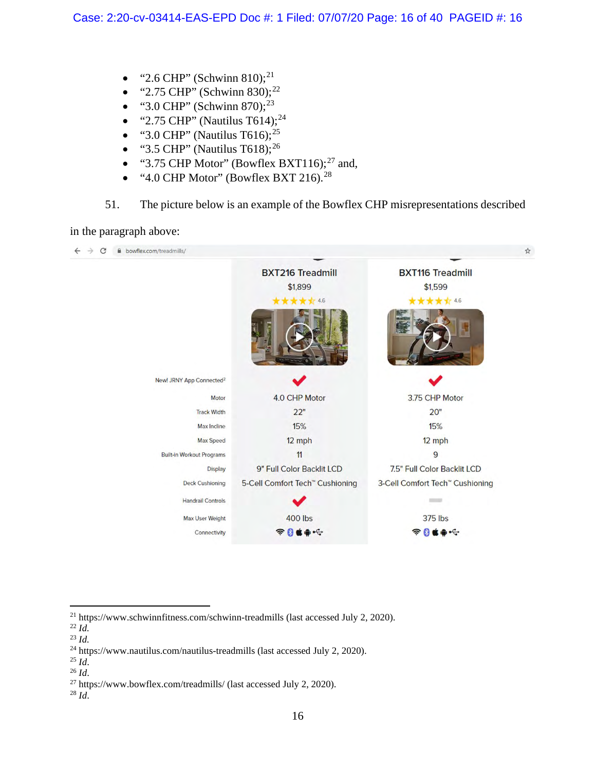- "2.6 CHP" (Schwinn 810);<sup>[21](#page-15-0)</sup>
- "2.75 CHP" (Schwinn 830);<sup>[22](#page-15-1)</sup>
- "3.0 CHP" (Schwinn 870); $^{23}$  $^{23}$  $^{23}$
- "2.75 CHP" (Nautilus T614); $^{24}$  $^{24}$  $^{24}$
- "3.0 CHP" (Nautilus T616); $^{25}$  $^{25}$  $^{25}$
- "3.5 CHP" (Nautilus T618); $^{26}$  $^{26}$  $^{26}$
- "3.75 CHP Motor" (Bowflex BXT116); $^{27}$  $^{27}$  $^{27}$  and,
- "4.0 CHP Motor" (Bowflex BXT 216).<sup>[28](#page-15-7)</sup>

# 51. The picture below is an example of the Bowflex CHP misrepresentations described

in the paragraph above:

| bowflex.com/treadmills/              |                                             |                                             |
|--------------------------------------|---------------------------------------------|---------------------------------------------|
|                                      | <b>BXT216 Treadmill</b>                     | <b>BXT116 Treadmill</b>                     |
|                                      | \$1,899                                     | \$1,599                                     |
|                                      | ******                                      | ***** 4.6                                   |
|                                      |                                             |                                             |
| New! JRNY App Connected <sup>2</sup> |                                             |                                             |
| Motor                                | 4.0 CHP Motor                               | 3.75 CHP Motor                              |
| <b>Track Width</b>                   | 22"                                         | 20"                                         |
| Max Incline                          | 15%                                         | 15%                                         |
| <b>Max Speed</b>                     | 12 mph                                      | $12$ mph                                    |
| <b>Built-in Workout Programs</b>     | 11                                          | 9                                           |
| <b>Display</b>                       | 9" Full Color Backlit LCD                   | 7.5" Full Color Backlit LCD                 |
| <b>Deck Cushioning</b>               | 5-Cell Comfort Tech <sup>"</sup> Cushioning | 3-Cell Comfort Tech <sup>™</sup> Cushioning |
| <b>Handrail Controls</b>             |                                             | $\frac{1}{2}$                               |
| Max User Weight                      | <b>400 lbs</b>                              | 375 lbs                                     |
| Connectivity                         | $\approx 0$ ( $\approx$ $\sim$              |                                             |

<span id="page-15-0"></span> $^{21}$  https://www.schwinnfitness.com/schwinn-treadmills (last accessed July 2, 2020).  $^{22}$   $\emph{Id.}$ 

- 
- 

<span id="page-15-6"></span><span id="page-15-5"></span>

<span id="page-15-2"></span><span id="page-15-1"></span> $^{23}$  *Id.*<br><sup>24</sup> https://www.nautilus.com/nautilus-treadmills (last accessed July 2, 2020).

<span id="page-15-4"></span><span id="page-15-3"></span><sup>&</sup>lt;sup>25</sup> *Id.*<br><sup>26</sup> *Id.* <sup>27</sup> https://www.bowflex.com/treadmills/ (last accessed July 2, 2020). <sup>28</sup> *Id.* 

<span id="page-15-7"></span>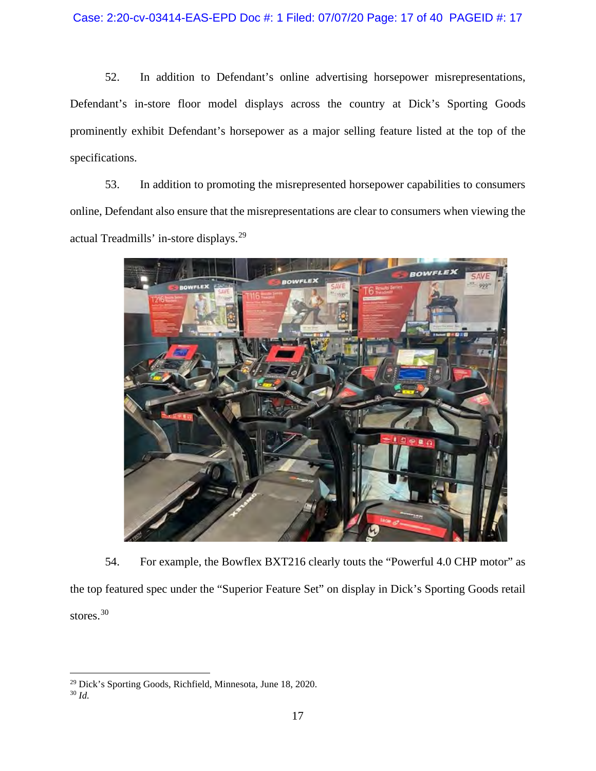52. In addition to Defendant's online advertising horsepower misrepresentations, Defendant's in-store floor model displays across the country at Dick's Sporting Goods prominently exhibit Defendant's horsepower as a major selling feature listed at the top of the specifications.

53. In addition to promoting the misrepresented horsepower capabilities to consumers online, Defendant also ensure that the misrepresentations are clear to consumers when viewing the actual Treadmills' in-store displays.[29](#page-16-0)



54. For example, the Bowflex BXT216 clearly touts the "Powerful 4.0 CHP motor" as the top featured spec under the "Superior Feature Set" on display in Dick's Sporting Goods retail stores. [30](#page-16-1)

<span id="page-16-0"></span><sup>29</sup> Dick's Sporting Goods, Richfield, Minnesota, June 18, 2020.

<span id="page-16-1"></span><sup>30</sup> *Id.*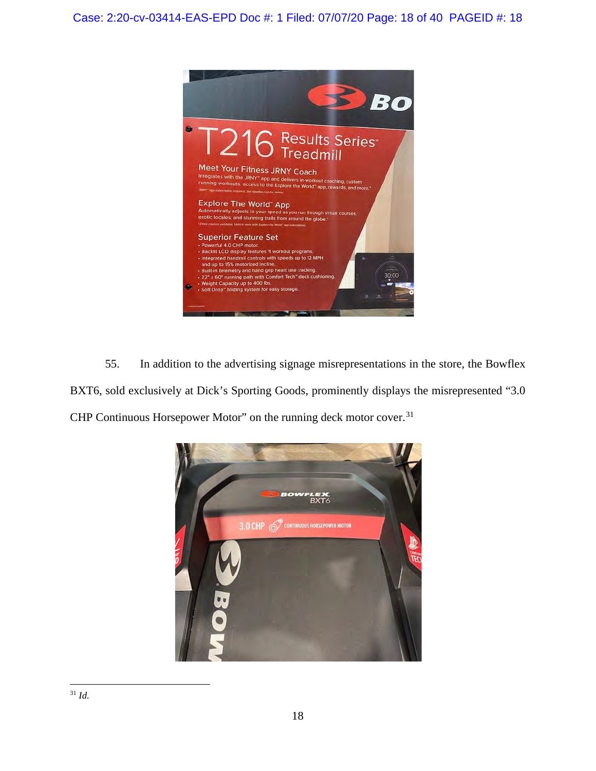

55. In addition to the advertising signage misrepresentations in the store, the Bowflex BXT6, sold exclusively at Dick's Sporting Goods, prominently displays the misrepresented "3.0" CHP Continuous Horsepower Motor" on the running deck motor cover.<sup>[31](#page-17-0)</sup>

<span id="page-17-0"></span>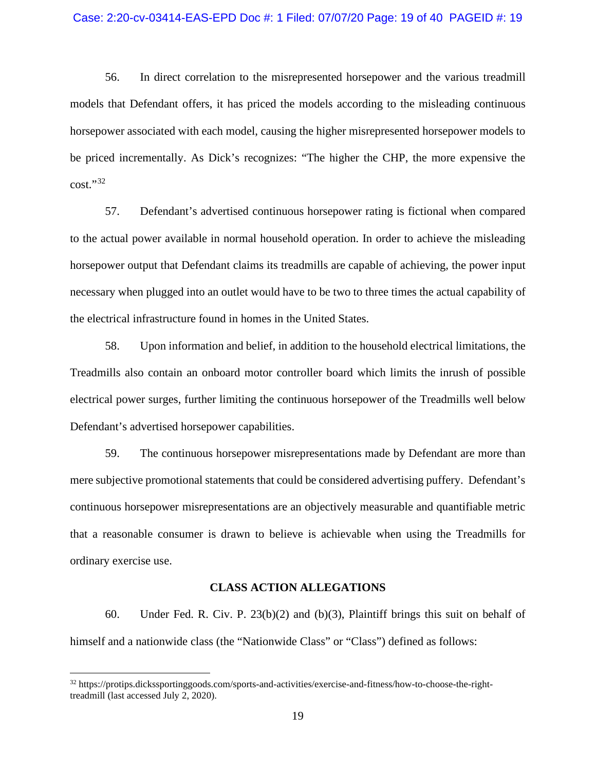### Case: 2:20-cv-03414-EAS-EPD Doc #: 1 Filed: 07/07/20 Page: 19 of 40 PAGEID #: 19

56. In direct correlation to the misrepresented horsepower and the various treadmill models that Defendant offers, it has priced the models according to the misleading continuous horsepower associated with each model, causing the higher misrepresented horsepower models to be priced incrementally. As Dick's recognizes: "The higher the CHP, the more expensive the  $cost."32$  $cost."32$ 

57. Defendant's advertised continuous horsepower rating is fictional when compared to the actual power available in normal household operation. In order to achieve the misleading horsepower output that Defendant claims its treadmills are capable of achieving, the power input necessary when plugged into an outlet would have to be two to three times the actual capability of the electrical infrastructure found in homes in the United States.

58. Upon information and belief, in addition to the household electrical limitations, the Treadmills also contain an onboard motor controller board which limits the inrush of possible electrical power surges, further limiting the continuous horsepower of the Treadmills well below Defendant's advertised horsepower capabilities.

59. The continuous horsepower misrepresentations made by Defendant are more than mere subjective promotional statements that could be considered advertising puffery. Defendant's continuous horsepower misrepresentations are an objectively measurable and quantifiable metric that a reasonable consumer is drawn to believe is achievable when using the Treadmills for ordinary exercise use.

### **CLASS ACTION ALLEGATIONS**

60. Under Fed. R. Civ. P. 23(b)(2) and (b)(3), Plaintiff brings this suit on behalf of himself and a nationwide class (the "Nationwide Class" or "Class") defined as follows:

<span id="page-18-0"></span><sup>32</sup> https://protips.dickssportinggoods.com/sports-and-activities/exercise-and-fitness/how-to-choose-the-righttreadmill (last accessed July 2, 2020).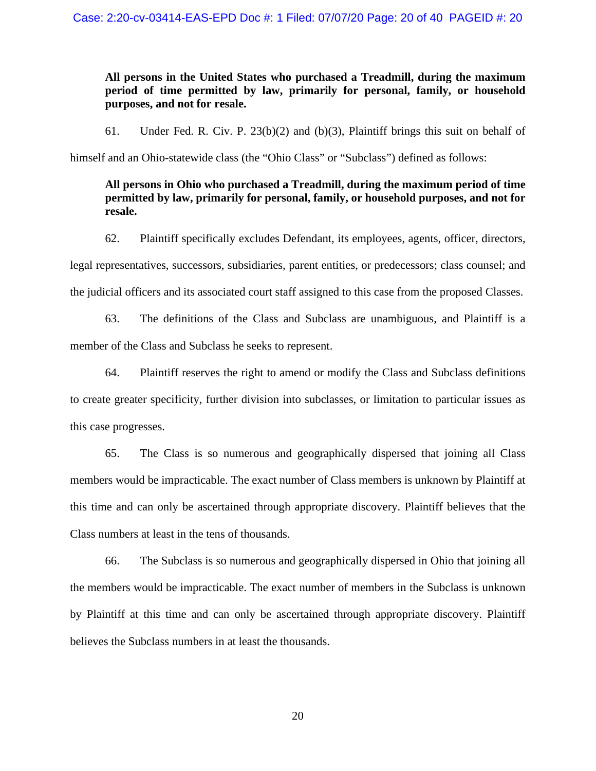## **All persons in the United States who purchased a Treadmill, during the maximum period of time permitted by law, primarily for personal, family, or household purposes, and not for resale.**

61. Under Fed. R. Civ. P. 23(b)(2) and (b)(3), Plaintiff brings this suit on behalf of

himself and an Ohio-statewide class (the "Ohio Class" or "Subclass") defined as follows:

## **All persons in Ohio who purchased a Treadmill, during the maximum period of time permitted by law, primarily for personal, family, or household purposes, and not for resale.**

62. Plaintiff specifically excludes Defendant, its employees, agents, officer, directors, legal representatives, successors, subsidiaries, parent entities, or predecessors; class counsel; and the judicial officers and its associated court staff assigned to this case from the proposed Classes.

63. The definitions of the Class and Subclass are unambiguous, and Plaintiff is a member of the Class and Subclass he seeks to represent.

64. Plaintiff reserves the right to amend or modify the Class and Subclass definitions to create greater specificity, further division into subclasses, or limitation to particular issues as this case progresses.

65. The Class is so numerous and geographically dispersed that joining all Class members would be impracticable. The exact number of Class members is unknown by Plaintiff at this time and can only be ascertained through appropriate discovery. Plaintiff believes that the Class numbers at least in the tens of thousands.

66. The Subclass is so numerous and geographically dispersed in Ohio that joining all the members would be impracticable. The exact number of members in the Subclass is unknown by Plaintiff at this time and can only be ascertained through appropriate discovery. Plaintiff believes the Subclass numbers in at least the thousands.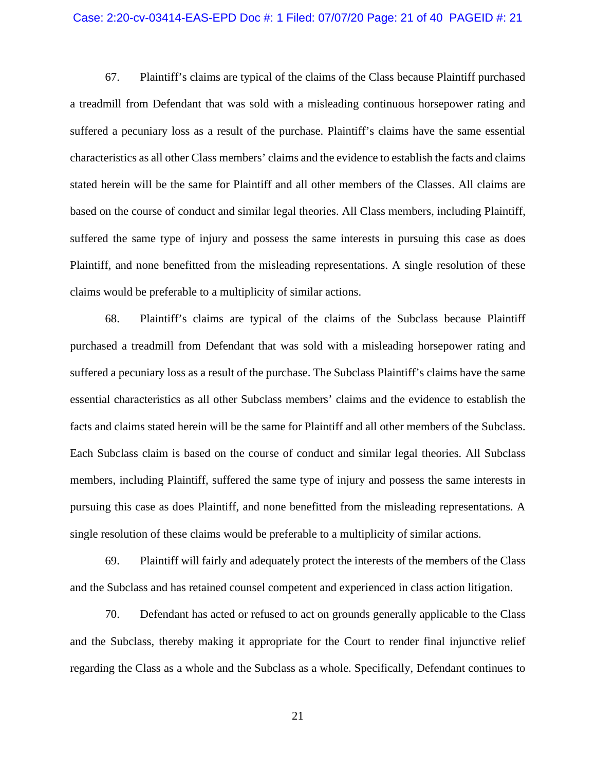### Case: 2:20-cv-03414-EAS-EPD Doc #: 1 Filed: 07/07/20 Page: 21 of 40 PAGEID #: 21

67. Plaintiff's claims are typical of the claims of the Class because Plaintiff purchased a treadmill from Defendant that was sold with a misleading continuous horsepower rating and suffered a pecuniary loss as a result of the purchase. Plaintiff's claims have the same essential characteristics as all other Class members' claims and the evidence to establish the facts and claims stated herein will be the same for Plaintiff and all other members of the Classes. All claims are based on the course of conduct and similar legal theories. All Class members, including Plaintiff, suffered the same type of injury and possess the same interests in pursuing this case as does Plaintiff, and none benefitted from the misleading representations. A single resolution of these claims would be preferable to a multiplicity of similar actions.

68. Plaintiff's claims are typical of the claims of the Subclass because Plaintiff purchased a treadmill from Defendant that was sold with a misleading horsepower rating and suffered a pecuniary loss as a result of the purchase. The Subclass Plaintiff's claims have the same essential characteristics as all other Subclass members' claims and the evidence to establish the facts and claims stated herein will be the same for Plaintiff and all other members of the Subclass. Each Subclass claim is based on the course of conduct and similar legal theories. All Subclass members, including Plaintiff, suffered the same type of injury and possess the same interests in pursuing this case as does Plaintiff, and none benefitted from the misleading representations. A single resolution of these claims would be preferable to a multiplicity of similar actions.

69. Plaintiff will fairly and adequately protect the interests of the members of the Class and the Subclass and has retained counsel competent and experienced in class action litigation.

70. Defendant has acted or refused to act on grounds generally applicable to the Class and the Subclass, thereby making it appropriate for the Court to render final injunctive relief regarding the Class as a whole and the Subclass as a whole. Specifically, Defendant continues to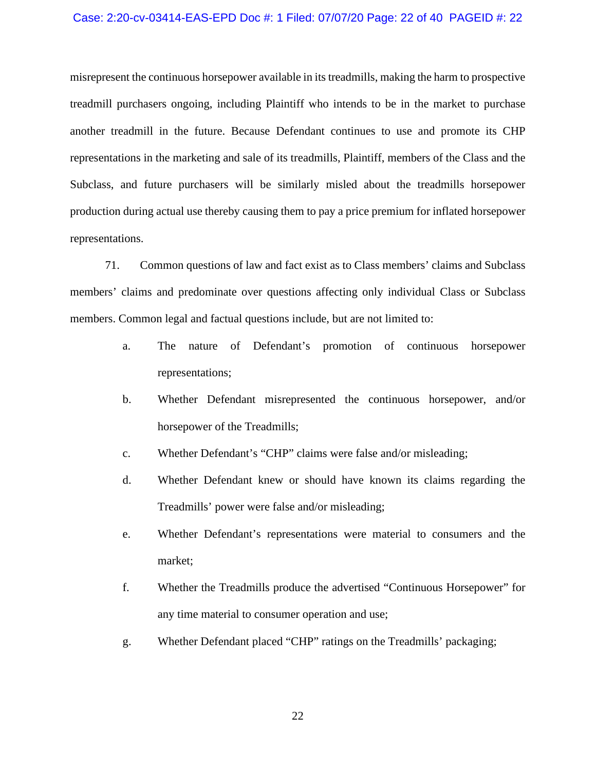### Case: 2:20-cv-03414-EAS-EPD Doc #: 1 Filed: 07/07/20 Page: 22 of 40 PAGEID #: 22

misrepresent the continuous horsepower available in its treadmills, making the harm to prospective treadmill purchasers ongoing, including Plaintiff who intends to be in the market to purchase another treadmill in the future. Because Defendant continues to use and promote its CHP representations in the marketing and sale of its treadmills, Plaintiff, members of the Class and the Subclass, and future purchasers will be similarly misled about the treadmills horsepower production during actual use thereby causing them to pay a price premium for inflated horsepower representations.

71. Common questions of law and fact exist as to Class members' claims and Subclass members' claims and predominate over questions affecting only individual Class or Subclass members. Common legal and factual questions include, but are not limited to:

- a. The nature of Defendant's promotion of continuous horsepower representations;
- b. Whether Defendant misrepresented the continuous horsepower, and/or horsepower of the Treadmills;
- c. Whether Defendant's "CHP" claims were false and/or misleading;
- d. Whether Defendant knew or should have known its claims regarding the Treadmills' power were false and/or misleading;
- e. Whether Defendant's representations were material to consumers and the market;
- f. Whether the Treadmills produce the advertised "Continuous Horsepower" for any time material to consumer operation and use;
- g. Whether Defendant placed "CHP" ratings on the Treadmills' packaging;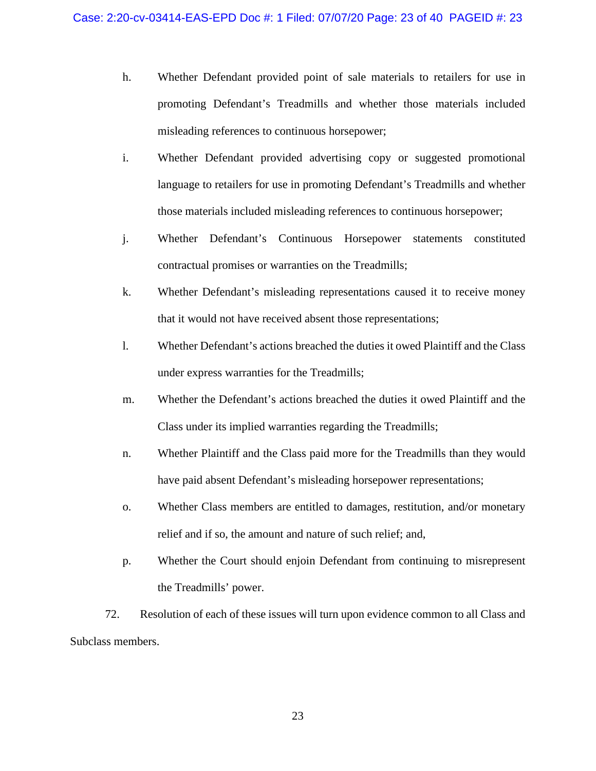- h. Whether Defendant provided point of sale materials to retailers for use in promoting Defendant's Treadmills and whether those materials included misleading references to continuous horsepower;
- i. Whether Defendant provided advertising copy or suggested promotional language to retailers for use in promoting Defendant's Treadmills and whether those materials included misleading references to continuous horsepower;
- j. Whether Defendant's Continuous Horsepower statements constituted contractual promises or warranties on the Treadmills;
- k. Whether Defendant's misleading representations caused it to receive money that it would not have received absent those representations;
- l. Whether Defendant's actions breached the duties it owed Plaintiff and the Class under express warranties for the Treadmills;
- m. Whether the Defendant's actions breached the duties it owed Plaintiff and the Class under its implied warranties regarding the Treadmills;
- n. Whether Plaintiff and the Class paid more for the Treadmills than they would have paid absent Defendant's misleading horsepower representations;
- o. Whether Class members are entitled to damages, restitution, and/or monetary relief and if so, the amount and nature of such relief; and,
- p. Whether the Court should enjoin Defendant from continuing to misrepresent the Treadmills' power.

72. Resolution of each of these issues will turn upon evidence common to all Class and Subclass members.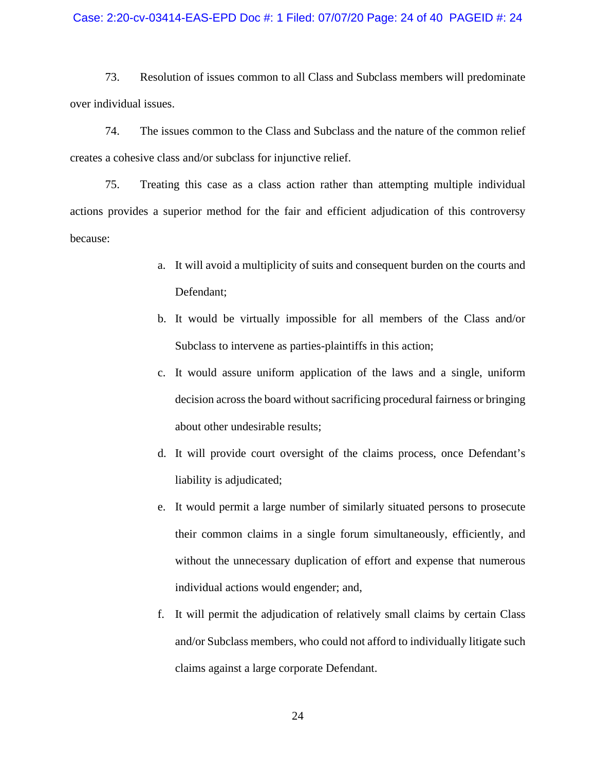### Case: 2:20-cv-03414-EAS-EPD Doc #: 1 Filed: 07/07/20 Page: 24 of 40 PAGEID #: 24

73. Resolution of issues common to all Class and Subclass members will predominate over individual issues.

74. The issues common to the Class and Subclass and the nature of the common relief creates a cohesive class and/or subclass for injunctive relief.

75. Treating this case as a class action rather than attempting multiple individual actions provides a superior method for the fair and efficient adjudication of this controversy because:

- a. It will avoid a multiplicity of suits and consequent burden on the courts and Defendant;
- b. It would be virtually impossible for all members of the Class and/or Subclass to intervene as parties-plaintiffs in this action;
- c. It would assure uniform application of the laws and a single, uniform decision across the board without sacrificing procedural fairness or bringing about other undesirable results;
- d. It will provide court oversight of the claims process, once Defendant's liability is adjudicated;
- e. It would permit a large number of similarly situated persons to prosecute their common claims in a single forum simultaneously, efficiently, and without the unnecessary duplication of effort and expense that numerous individual actions would engender; and,
- f. It will permit the adjudication of relatively small claims by certain Class and/or Subclass members, who could not afford to individually litigate such claims against a large corporate Defendant.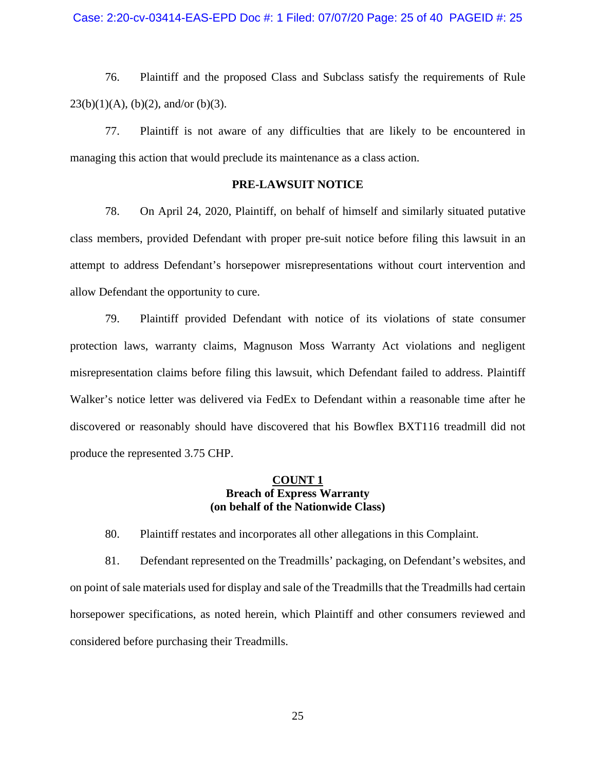76. Plaintiff and the proposed Class and Subclass satisfy the requirements of Rule  $23(b)(1)(A)$ , (b)(2), and/or (b)(3).

77. Plaintiff is not aware of any difficulties that are likely to be encountered in managing this action that would preclude its maintenance as a class action.

### **PRE-LAWSUIT NOTICE**

78. On April 24, 2020, Plaintiff, on behalf of himself and similarly situated putative class members, provided Defendant with proper pre-suit notice before filing this lawsuit in an attempt to address Defendant's horsepower misrepresentations without court intervention and allow Defendant the opportunity to cure.

79. Plaintiff provided Defendant with notice of its violations of state consumer protection laws, warranty claims, Magnuson Moss Warranty Act violations and negligent misrepresentation claims before filing this lawsuit, which Defendant failed to address. Plaintiff Walker's notice letter was delivered via FedEx to Defendant within a reasonable time after he discovered or reasonably should have discovered that his Bowflex BXT116 treadmill did not produce the represented 3.75 CHP.

### **COUNT 1 Breach of Express Warranty (on behalf of the Nationwide Class)**

80. Plaintiff restates and incorporates all other allegations in this Complaint.

81. Defendant represented on the Treadmills' packaging, on Defendant's websites, and on point of sale materials used for display and sale of the Treadmills that the Treadmills had certain horsepower specifications, as noted herein, which Plaintiff and other consumers reviewed and considered before purchasing their Treadmills.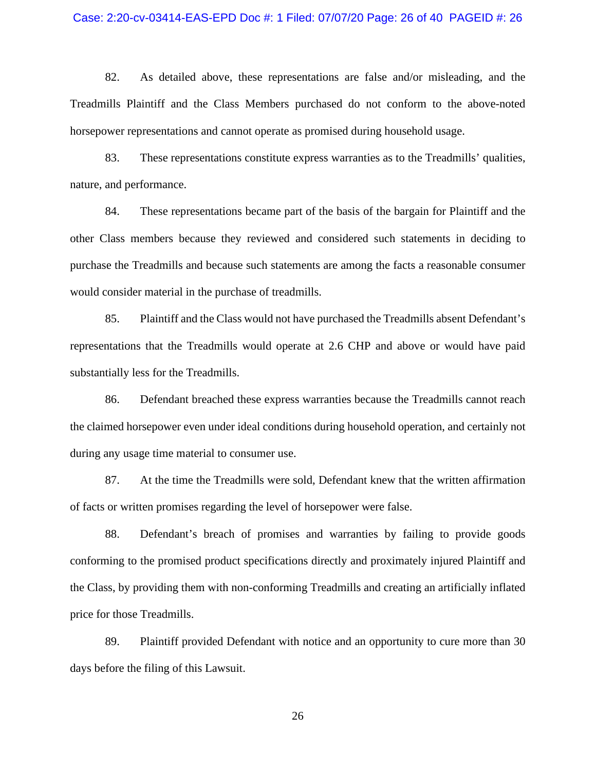#### Case: 2:20-cv-03414-EAS-EPD Doc #: 1 Filed: 07/07/20 Page: 26 of 40 PAGEID #: 26

82. As detailed above, these representations are false and/or misleading, and the Treadmills Plaintiff and the Class Members purchased do not conform to the above-noted horsepower representations and cannot operate as promised during household usage.

83. These representations constitute express warranties as to the Treadmills' qualities, nature, and performance.

84. These representations became part of the basis of the bargain for Plaintiff and the other Class members because they reviewed and considered such statements in deciding to purchase the Treadmills and because such statements are among the facts a reasonable consumer would consider material in the purchase of treadmills.

85. Plaintiff and the Class would not have purchased the Treadmills absent Defendant's representations that the Treadmills would operate at 2.6 CHP and above or would have paid substantially less for the Treadmills.

86. Defendant breached these express warranties because the Treadmills cannot reach the claimed horsepower even under ideal conditions during household operation, and certainly not during any usage time material to consumer use.

87. At the time the Treadmills were sold, Defendant knew that the written affirmation of facts or written promises regarding the level of horsepower were false.

88. Defendant's breach of promises and warranties by failing to provide goods conforming to the promised product specifications directly and proximately injured Plaintiff and the Class, by providing them with non-conforming Treadmills and creating an artificially inflated price for those Treadmills.

89. Plaintiff provided Defendant with notice and an opportunity to cure more than 30 days before the filing of this Lawsuit.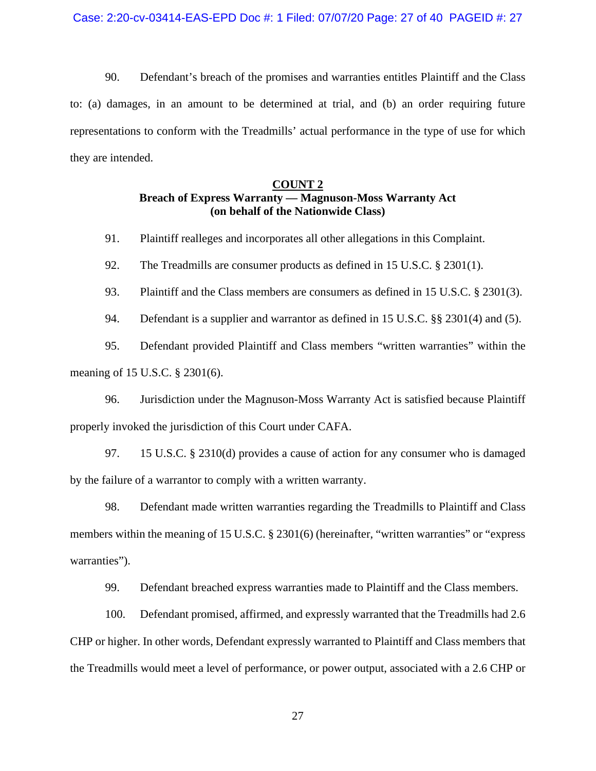90. Defendant's breach of the promises and warranties entitles Plaintiff and the Class to: (a) damages, in an amount to be determined at trial, and (b) an order requiring future representations to conform with the Treadmills' actual performance in the type of use for which they are intended.

### **COUNT 2**

## **Breach of Express Warranty — Magnuson-Moss Warranty Act (on behalf of the Nationwide Class)**

91. Plaintiff realleges and incorporates all other allegations in this Complaint.

92. The Treadmills are consumer products as defined in 15 U.S.C. § 2301(1).

93. Plaintiff and the Class members are consumers as defined in 15 U.S.C. § 2301(3).

94. Defendant is a supplier and warrantor as defined in 15 U.S.C. §§ 2301(4) and (5).

95. Defendant provided Plaintiff and Class members "written warranties" within the meaning of 15 U.S.C. § 2301(6).

96. Jurisdiction under the Magnuson-Moss Warranty Act is satisfied because Plaintiff properly invoked the jurisdiction of this Court under CAFA.

97. 15 U.S.C. § 2310(d) provides a cause of action for any consumer who is damaged by the failure of a warrantor to comply with a written warranty.

98. Defendant made written warranties regarding the Treadmills to Plaintiff and Class members within the meaning of 15 U.S.C. § 2301(6) (hereinafter, "written warranties" or "express warranties").

99. Defendant breached express warranties made to Plaintiff and the Class members.

100. Defendant promised, affirmed, and expressly warranted that the Treadmills had 2.6 CHP or higher. In other words, Defendant expressly warranted to Plaintiff and Class members that the Treadmills would meet a level of performance, or power output, associated with a 2.6 CHP or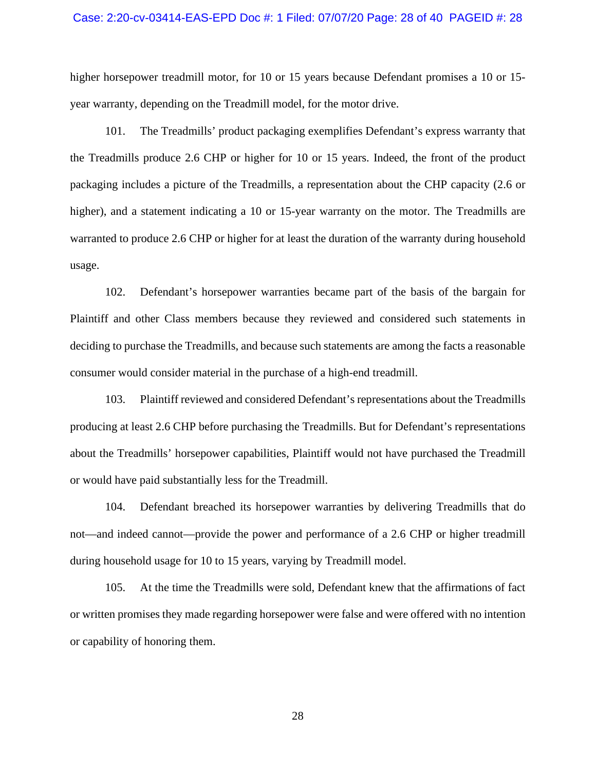### Case: 2:20-cv-03414-EAS-EPD Doc #: 1 Filed: 07/07/20 Page: 28 of 40 PAGEID #: 28

higher horsepower treadmill motor, for 10 or 15 years because Defendant promises a 10 or 15year warranty, depending on the Treadmill model, for the motor drive.

101. The Treadmills' product packaging exemplifies Defendant's express warranty that the Treadmills produce 2.6 CHP or higher for 10 or 15 years. Indeed, the front of the product packaging includes a picture of the Treadmills, a representation about the CHP capacity (2.6 or higher), and a statement indicating a 10 or 15-year warranty on the motor. The Treadmills are warranted to produce 2.6 CHP or higher for at least the duration of the warranty during household usage.

102. Defendant's horsepower warranties became part of the basis of the bargain for Plaintiff and other Class members because they reviewed and considered such statements in deciding to purchase the Treadmills, and because such statements are among the facts a reasonable consumer would consider material in the purchase of a high-end treadmill.

103. Plaintiff reviewed and considered Defendant's representations about the Treadmills producing at least 2.6 CHP before purchasing the Treadmills. But for Defendant's representations about the Treadmills' horsepower capabilities, Plaintiff would not have purchased the Treadmill or would have paid substantially less for the Treadmill.

104. Defendant breached its horsepower warranties by delivering Treadmills that do not—and indeed cannot—provide the power and performance of a 2.6 CHP or higher treadmill during household usage for 10 to 15 years, varying by Treadmill model.

105. At the time the Treadmills were sold, Defendant knew that the affirmations of fact or written promises they made regarding horsepower were false and were offered with no intention or capability of honoring them.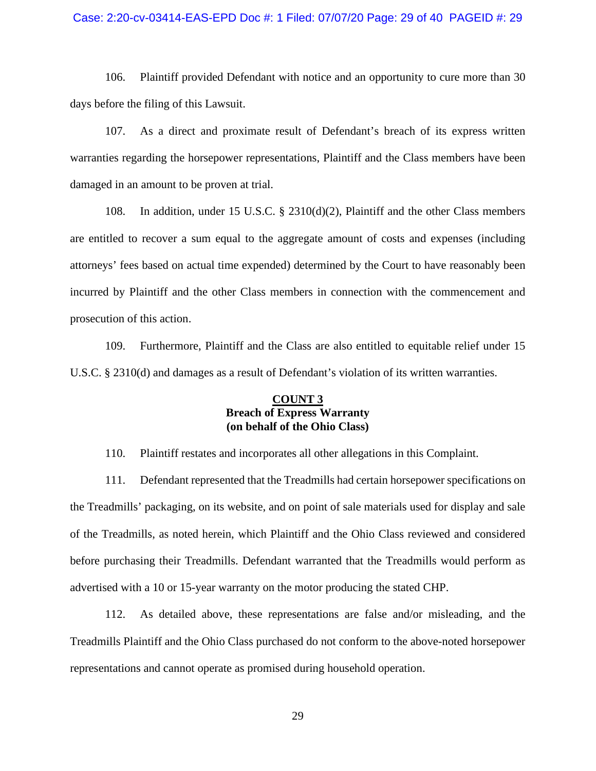### Case: 2:20-cv-03414-EAS-EPD Doc #: 1 Filed: 07/07/20 Page: 29 of 40 PAGEID #: 29

106. Plaintiff provided Defendant with notice and an opportunity to cure more than 30 days before the filing of this Lawsuit.

107. As a direct and proximate result of Defendant's breach of its express written warranties regarding the horsepower representations, Plaintiff and the Class members have been damaged in an amount to be proven at trial.

108. In addition, under 15 U.S.C. § 2310(d)(2), Plaintiff and the other Class members are entitled to recover a sum equal to the aggregate amount of costs and expenses (including attorneys' fees based on actual time expended) determined by the Court to have reasonably been incurred by Plaintiff and the other Class members in connection with the commencement and prosecution of this action.

109. Furthermore, Plaintiff and the Class are also entitled to equitable relief under 15 U.S.C. § 2310(d) and damages as a result of Defendant's violation of its written warranties.

## **COUNT 3 Breach of Express Warranty (on behalf of the Ohio Class)**

110. Plaintiff restates and incorporates all other allegations in this Complaint.

111. Defendant represented that the Treadmills had certain horsepower specifications on the Treadmills' packaging, on its website, and on point of sale materials used for display and sale of the Treadmills, as noted herein, which Plaintiff and the Ohio Class reviewed and considered before purchasing their Treadmills. Defendant warranted that the Treadmills would perform as advertised with a 10 or 15-year warranty on the motor producing the stated CHP.

112. As detailed above, these representations are false and/or misleading, and the Treadmills Plaintiff and the Ohio Class purchased do not conform to the above-noted horsepower representations and cannot operate as promised during household operation.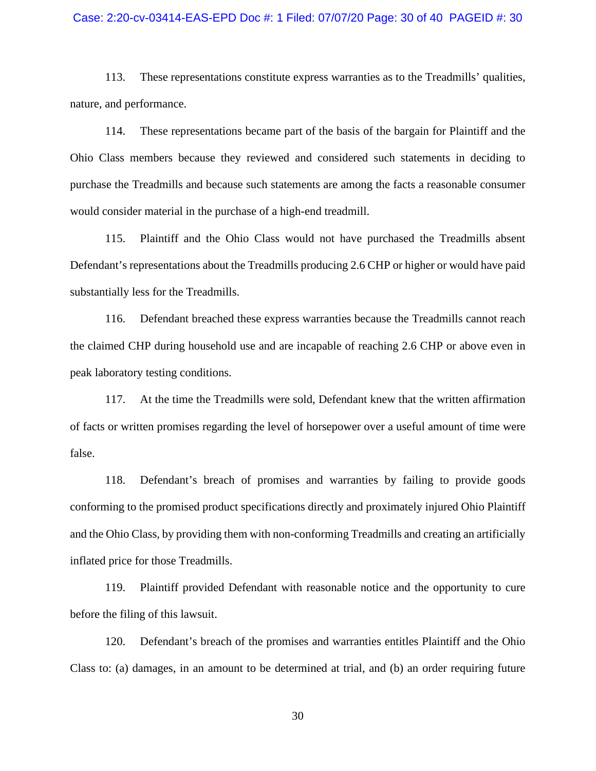### Case: 2:20-cv-03414-EAS-EPD Doc #: 1 Filed: 07/07/20 Page: 30 of 40 PAGEID #: 30

113. These representations constitute express warranties as to the Treadmills' qualities, nature, and performance.

114. These representations became part of the basis of the bargain for Plaintiff and the Ohio Class members because they reviewed and considered such statements in deciding to purchase the Treadmills and because such statements are among the facts a reasonable consumer would consider material in the purchase of a high-end treadmill.

115. Plaintiff and the Ohio Class would not have purchased the Treadmills absent Defendant's representations about the Treadmills producing 2.6 CHP or higher or would have paid substantially less for the Treadmills.

116. Defendant breached these express warranties because the Treadmills cannot reach the claimed CHP during household use and are incapable of reaching 2.6 CHP or above even in peak laboratory testing conditions.

117. At the time the Treadmills were sold, Defendant knew that the written affirmation of facts or written promises regarding the level of horsepower over a useful amount of time were false.

118. Defendant's breach of promises and warranties by failing to provide goods conforming to the promised product specifications directly and proximately injured Ohio Plaintiff and the Ohio Class, by providing them with non-conforming Treadmills and creating an artificially inflated price for those Treadmills.

119. Plaintiff provided Defendant with reasonable notice and the opportunity to cure before the filing of this lawsuit.

120. Defendant's breach of the promises and warranties entitles Plaintiff and the Ohio Class to: (a) damages, in an amount to be determined at trial, and (b) an order requiring future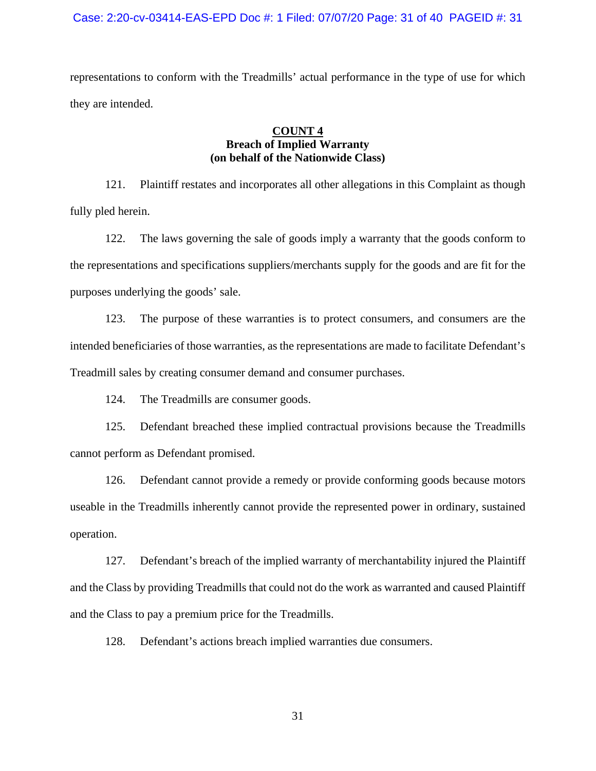### Case: 2:20-cv-03414-EAS-EPD Doc #: 1 Filed: 07/07/20 Page: 31 of 40 PAGEID #: 31

representations to conform with the Treadmills' actual performance in the type of use for which they are intended.

## **COUNT 4 Breach of Implied Warranty (on behalf of the Nationwide Class)**

121. Plaintiff restates and incorporates all other allegations in this Complaint as though fully pled herein.

122. The laws governing the sale of goods imply a warranty that the goods conform to the representations and specifications suppliers/merchants supply for the goods and are fit for the purposes underlying the goods' sale.

123. The purpose of these warranties is to protect consumers, and consumers are the intended beneficiaries of those warranties, as the representations are made to facilitate Defendant's Treadmill sales by creating consumer demand and consumer purchases.

124. The Treadmills are consumer goods.

125. Defendant breached these implied contractual provisions because the Treadmills cannot perform as Defendant promised.

126. Defendant cannot provide a remedy or provide conforming goods because motors useable in the Treadmills inherently cannot provide the represented power in ordinary, sustained operation.

127. Defendant's breach of the implied warranty of merchantability injured the Plaintiff and the Class by providing Treadmills that could not do the work as warranted and caused Plaintiff and the Class to pay a premium price for the Treadmills.

128. Defendant's actions breach implied warranties due consumers.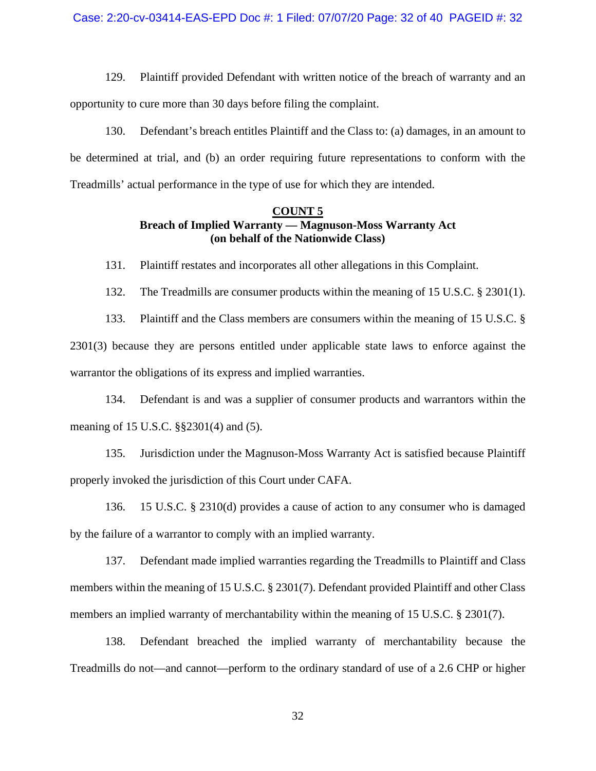129. Plaintiff provided Defendant with written notice of the breach of warranty and an opportunity to cure more than 30 days before filing the complaint.

130. Defendant's breach entitles Plaintiff and the Class to: (a) damages, in an amount to be determined at trial, and (b) an order requiring future representations to conform with the Treadmills' actual performance in the type of use for which they are intended.

### **COUNT 5 Breach of Implied Warranty — Magnuson-Moss Warranty Act (on behalf of the Nationwide Class)**

131. Plaintiff restates and incorporates all other allegations in this Complaint.

132. The Treadmills are consumer products within the meaning of 15 U.S.C. § 2301(1).

133. Plaintiff and the Class members are consumers within the meaning of 15 U.S.C. § 2301(3) because they are persons entitled under applicable state laws to enforce against the warrantor the obligations of its express and implied warranties.

134. Defendant is and was a supplier of consumer products and warrantors within the meaning of 15 U.S.C. §§2301(4) and (5).

135. Jurisdiction under the Magnuson-Moss Warranty Act is satisfied because Plaintiff properly invoked the jurisdiction of this Court under CAFA.

136. 15 U.S.C. § 2310(d) provides a cause of action to any consumer who is damaged by the failure of a warrantor to comply with an implied warranty.

137. Defendant made implied warranties regarding the Treadmills to Plaintiff and Class members within the meaning of 15 U.S.C. § 2301(7). Defendant provided Plaintiff and other Class members an implied warranty of merchantability within the meaning of 15 U.S.C. § 2301(7).

138. Defendant breached the implied warranty of merchantability because the Treadmills do not—and cannot—perform to the ordinary standard of use of a 2.6 CHP or higher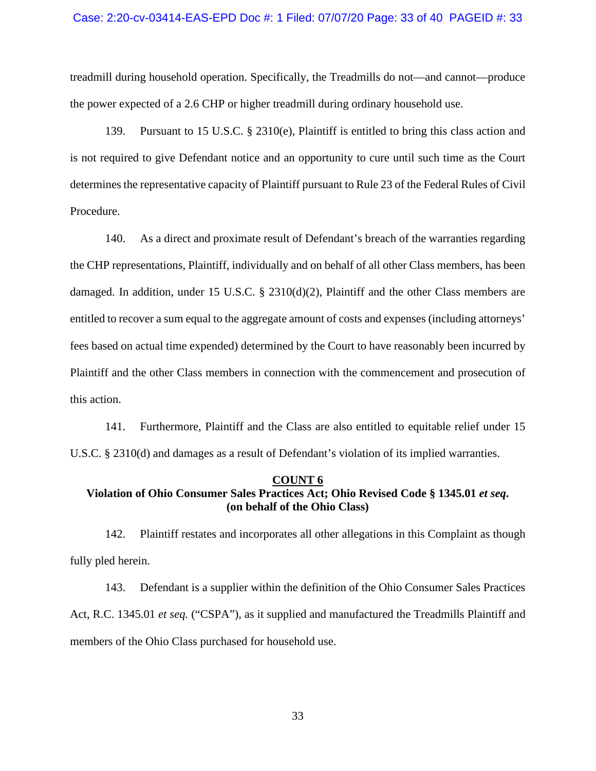### Case: 2:20-cv-03414-EAS-EPD Doc #: 1 Filed: 07/07/20 Page: 33 of 40 PAGEID #: 33

treadmill during household operation. Specifically, the Treadmills do not—and cannot—produce the power expected of a 2.6 CHP or higher treadmill during ordinary household use.

139. Pursuant to 15 U.S.C. § 2310(e), Plaintiff is entitled to bring this class action and is not required to give Defendant notice and an opportunity to cure until such time as the Court determines the representative capacity of Plaintiff pursuant to Rule 23 of the Federal Rules of Civil Procedure.

140. As a direct and proximate result of Defendant's breach of the warranties regarding the CHP representations, Plaintiff, individually and on behalf of all other Class members, has been damaged. In addition, under 15 U.S.C. § 2310(d)(2), Plaintiff and the other Class members are entitled to recover a sum equal to the aggregate amount of costs and expenses (including attorneys' fees based on actual time expended) determined by the Court to have reasonably been incurred by Plaintiff and the other Class members in connection with the commencement and prosecution of this action.

141. Furthermore, Plaintiff and the Class are also entitled to equitable relief under 15 U.S.C. § 2310(d) and damages as a result of Defendant's violation of its implied warranties.

#### **COUNT 6**

## **Violation of Ohio Consumer Sales Practices Act; Ohio Revised Code § 1345.01** *et seq***. (on behalf of the Ohio Class)**

142. Plaintiff restates and incorporates all other allegations in this Complaint as though fully pled herein.

143. Defendant is a supplier within the definition of the Ohio Consumer Sales Practices Act, R.C. 1345.01 *et seq.* ("CSPA"), as it supplied and manufactured the Treadmills Plaintiff and members of the Ohio Class purchased for household use.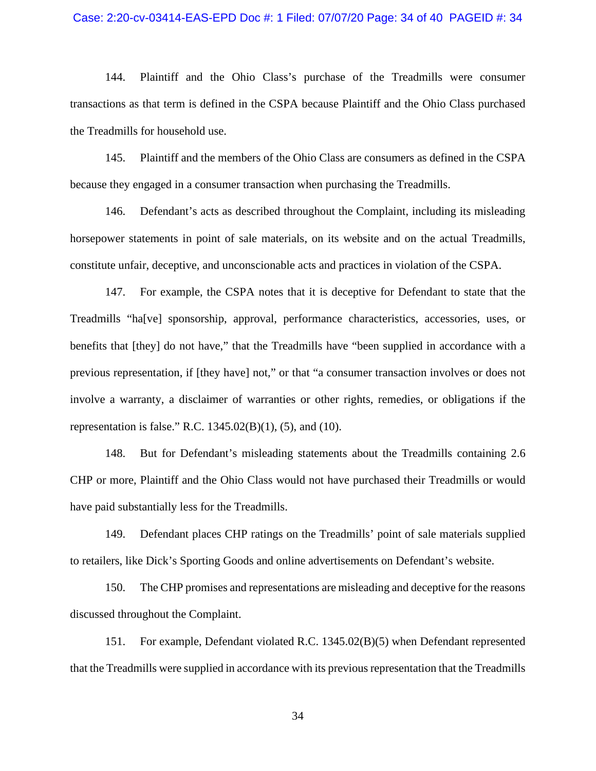### Case: 2:20-cv-03414-EAS-EPD Doc #: 1 Filed: 07/07/20 Page: 34 of 40 PAGEID #: 34

144. Plaintiff and the Ohio Class's purchase of the Treadmills were consumer transactions as that term is defined in the CSPA because Plaintiff and the Ohio Class purchased the Treadmills for household use.

145. Plaintiff and the members of the Ohio Class are consumers as defined in the CSPA because they engaged in a consumer transaction when purchasing the Treadmills.

146. Defendant's acts as described throughout the Complaint, including its misleading horsepower statements in point of sale materials, on its website and on the actual Treadmills, constitute unfair, deceptive, and unconscionable acts and practices in violation of the CSPA.

147. For example, the CSPA notes that it is deceptive for Defendant to state that the Treadmills "ha[ve] sponsorship, approval, performance characteristics, accessories, uses, or benefits that [they] do not have," that the Treadmills have "been supplied in accordance with a previous representation, if [they have] not," or that "a consumer transaction involves or does not involve a warranty, a disclaimer of warranties or other rights, remedies, or obligations if the representation is false." R.C. 1345.02(B)(1), (5), and (10).

148. But for Defendant's misleading statements about the Treadmills containing 2.6 CHP or more, Plaintiff and the Ohio Class would not have purchased their Treadmills or would have paid substantially less for the Treadmills.

149. Defendant places CHP ratings on the Treadmills' point of sale materials supplied to retailers, like Dick's Sporting Goods and online advertisements on Defendant's website.

150. The CHP promises and representations are misleading and deceptive for the reasons discussed throughout the Complaint.

151. For example, Defendant violated R.C. 1345.02(B)(5) when Defendant represented that the Treadmills were supplied in accordance with its previous representation that the Treadmills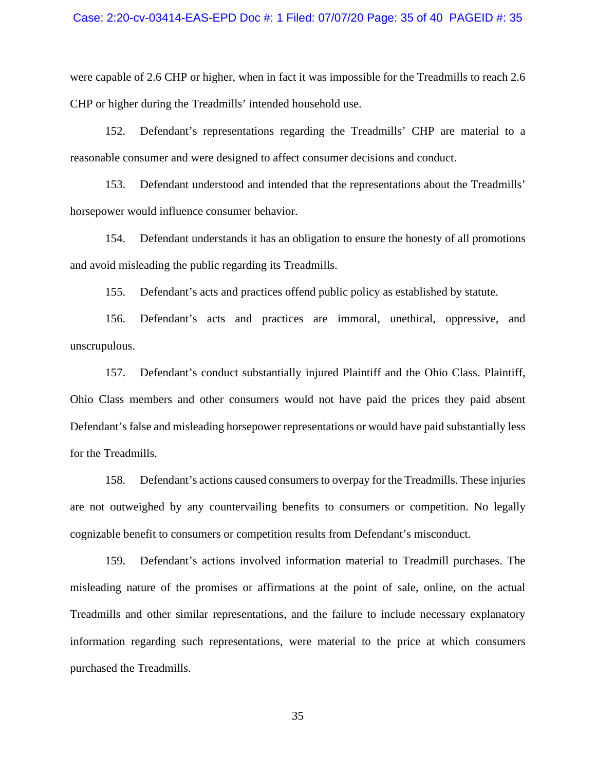were capable of 2.6 CHP or higher, when in fact it was impossible for the Treadmills to reach 2.6 CHP or higher during the Treadmills' intended household use.

152. Defendant's representations regarding the Treadmills' CHP are material to a reasonable consumer and were designed to affect consumer decisions and conduct.

153. Defendant understood and intended that the representations about the Treadmills' horsepower would influence consumer behavior.

154. Defendant understands it has an obligation to ensure the honesty of all promotions and avoid misleading the public regarding its Treadmills.

155. Defendant's acts and practices offend public policy as established by statute.

156. Defendant's acts and practices are immoral, unethical, oppressive, and unscrupulous.

157. Defendant's conduct substantially injured Plaintiff and the Ohio Class. Plaintiff, Ohio Class members and other consumers would not have paid the prices they paid absent Defendant's false and misleading horsepower representations or would have paid substantially less for the Treadmills.

158. Defendant's actions caused consumers to overpay for the Treadmills. These injuries are not outweighed by any countervailing benefits to consumers or competition. No legally cognizable benefit to consumers or competition results from Defendant's misconduct.

159. Defendant's actions involved information material to Treadmill purchases. The misleading nature of the promises or affirmations at the point of sale, online, on the actual Treadmills and other similar representations, and the failure to include necessary explanatory information regarding such representations, were material to the price at which consumers purchased the Treadmills.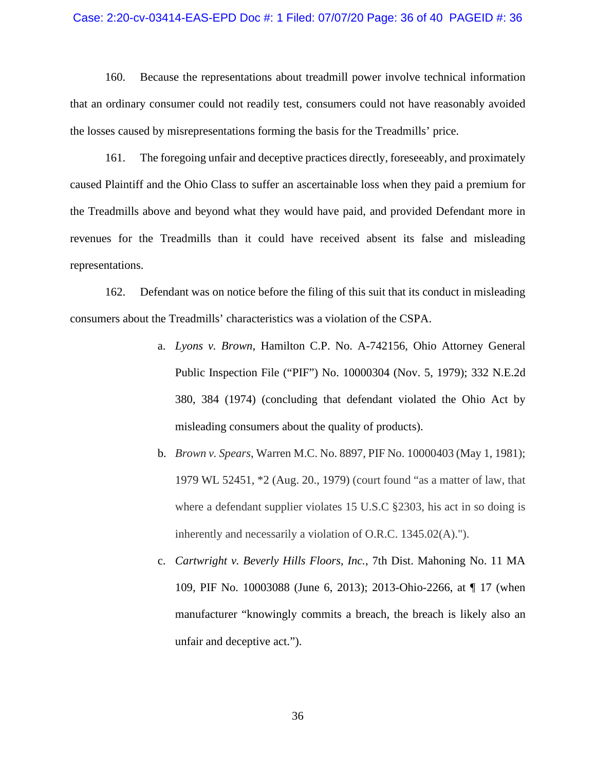#### Case: 2:20-cv-03414-EAS-EPD Doc #: 1 Filed: 07/07/20 Page: 36 of 40 PAGEID #: 36

160. Because the representations about treadmill power involve technical information that an ordinary consumer could not readily test, consumers could not have reasonably avoided the losses caused by misrepresentations forming the basis for the Treadmills' price.

161. The foregoing unfair and deceptive practices directly, foreseeably, and proximately caused Plaintiff and the Ohio Class to suffer an ascertainable loss when they paid a premium for the Treadmills above and beyond what they would have paid, and provided Defendant more in revenues for the Treadmills than it could have received absent its false and misleading representations.

162. Defendant was on notice before the filing of this suit that its conduct in misleading consumers about the Treadmills' characteristics was a violation of the CSPA.

- a. *Lyons v. Brown*, Hamilton C.P. No. A-742156, Ohio Attorney General Public Inspection File ("PIF") No. 10000304 (Nov. 5, 1979); 332 N.E.2d 380, 384 (1974) (concluding that defendant violated the Ohio Act by misleading consumers about the quality of products).
- b. *Brown v. Spears*, Warren M.C. No. 8897, PIF No. 10000403 (May 1, 1981); 1979 WL 52451, \*2 (Aug. 20., 1979) (court found "as a matter of law, that where a defendant supplier violates 15 U.S.C §2303, his act in so doing is inherently and necessarily a violation of O.R.C. 1345.02(A).").
- c. *Cartwright v. Beverly Hills Floors, Inc.*, 7th Dist. Mahoning No. 11 MA 109, PIF No. 10003088 (June 6, 2013); 2013-Ohio-2266, at ¶ 17 (when manufacturer "knowingly commits a breach, the breach is likely also an unfair and deceptive act.").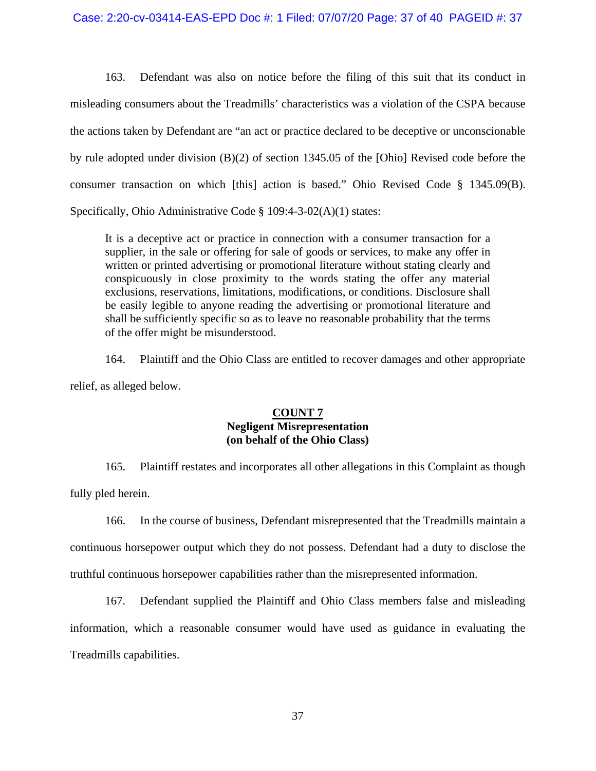163. Defendant was also on notice before the filing of this suit that its conduct in misleading consumers about the Treadmills' characteristics was a violation of the CSPA because the actions taken by Defendant are "an act or practice declared to be deceptive or unconscionable by rule adopted under division (B)(2) of section 1345.05 of the [Ohio] Revised code before the consumer transaction on which [this] action is based." Ohio Revised Code § 1345.09(B). Specifically, Ohio Administrative Code § 109:4-3-02(A)(1) states:

It is a deceptive act or practice in connection with a consumer transaction for a supplier, in the sale or offering for sale of goods or services, to make any offer in written or printed advertising or promotional literature without stating clearly and conspicuously in close proximity to the words stating the offer any material exclusions, reservations, limitations, modifications, or conditions. Disclosure shall be easily legible to anyone reading the advertising or promotional literature and shall be sufficiently specific so as to leave no reasonable probability that the terms of the offer might be misunderstood.

164. Plaintiff and the Ohio Class are entitled to recover damages and other appropriate relief, as alleged below.

## **COUNT 7 Negligent Misrepresentation (on behalf of the Ohio Class)**

165. Plaintiff restates and incorporates all other allegations in this Complaint as though fully pled herein.

166. In the course of business, Defendant misrepresented that the Treadmills maintain a continuous horsepower output which they do not possess. Defendant had a duty to disclose the truthful continuous horsepower capabilities rather than the misrepresented information.

167. Defendant supplied the Plaintiff and Ohio Class members false and misleading information, which a reasonable consumer would have used as guidance in evaluating the Treadmills capabilities.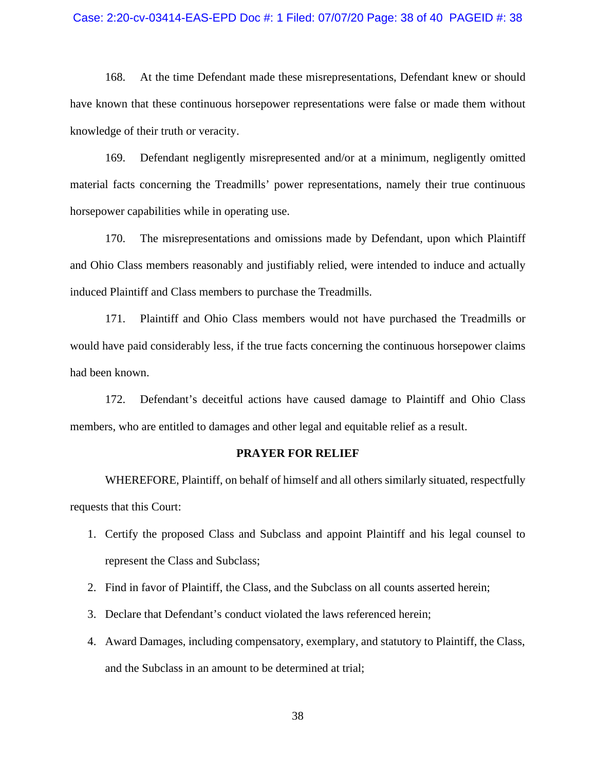#### Case: 2:20-cv-03414-EAS-EPD Doc #: 1 Filed: 07/07/20 Page: 38 of 40 PAGEID #: 38

168. At the time Defendant made these misrepresentations, Defendant knew or should have known that these continuous horsepower representations were false or made them without knowledge of their truth or veracity.

169. Defendant negligently misrepresented and/or at a minimum, negligently omitted material facts concerning the Treadmills' power representations, namely their true continuous horsepower capabilities while in operating use.

170. The misrepresentations and omissions made by Defendant, upon which Plaintiff and Ohio Class members reasonably and justifiably relied, were intended to induce and actually induced Plaintiff and Class members to purchase the Treadmills.

171. Plaintiff and Ohio Class members would not have purchased the Treadmills or would have paid considerably less, if the true facts concerning the continuous horsepower claims had been known.

172. Defendant's deceitful actions have caused damage to Plaintiff and Ohio Class members, who are entitled to damages and other legal and equitable relief as a result.

### **PRAYER FOR RELIEF**

WHEREFORE, Plaintiff, on behalf of himself and all others similarly situated, respectfully requests that this Court:

- 1. Certify the proposed Class and Subclass and appoint Plaintiff and his legal counsel to represent the Class and Subclass;
- 2. Find in favor of Plaintiff, the Class, and the Subclass on all counts asserted herein;
- 3. Declare that Defendant's conduct violated the laws referenced herein;
- 4. Award Damages, including compensatory, exemplary, and statutory to Plaintiff, the Class, and the Subclass in an amount to be determined at trial;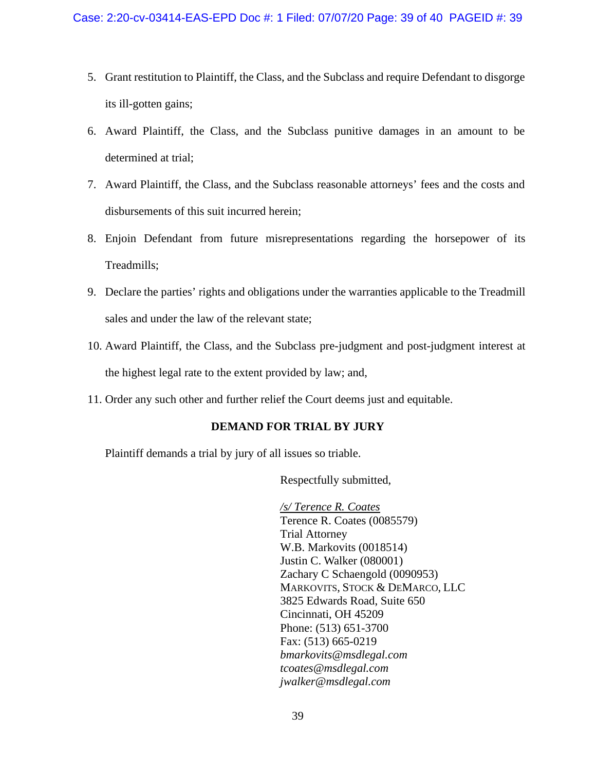- 5. Grant restitution to Plaintiff, the Class, and the Subclass and require Defendant to disgorge its ill-gotten gains;
- 6. Award Plaintiff, the Class, and the Subclass punitive damages in an amount to be determined at trial;
- 7. Award Plaintiff, the Class, and the Subclass reasonable attorneys' fees and the costs and disbursements of this suit incurred herein;
- 8. Enjoin Defendant from future misrepresentations regarding the horsepower of its Treadmills;
- 9. Declare the parties' rights and obligations under the warranties applicable to the Treadmill sales and under the law of the relevant state;
- 10. Award Plaintiff, the Class, and the Subclass pre-judgment and post-judgment interest at the highest legal rate to the extent provided by law; and,
- 11. Order any such other and further relief the Court deems just and equitable.

## **DEMAND FOR TRIAL BY JURY**

Plaintiff demands a trial by jury of all issues so triable.

Respectfully submitted,

 */s/ Terence R. Coates* Terence R. Coates (0085579) Trial Attorney W.B. Markovits (0018514) Justin C. Walker (080001) Zachary C Schaengold (0090953) MARKOVITS, STOCK & DEMARCO, LLC 3825 Edwards Road, Suite 650 Cincinnati, OH 45209 Phone: (513) 651-3700 Fax: (513) 665-0219 *bmarkovits@msdlegal.com tcoates@msdlegal.com jwalker@msdlegal.com*